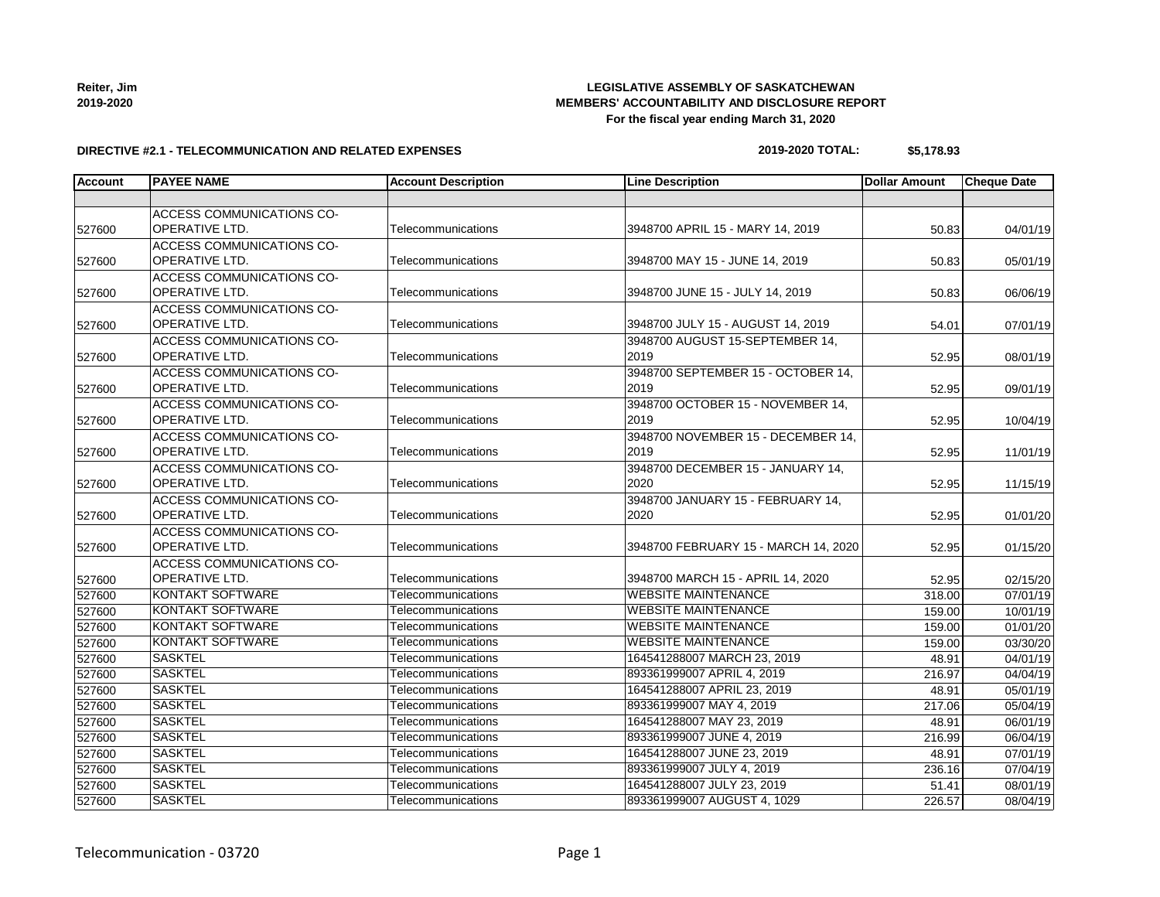| Reiter, Jim |
|-------------|
| 2019-2020   |

## **LEGISLATIVE ASSEMBLY OF SASKATCHEWAN MEMBERS' ACCOUNTABILITY AND DISCLOSURE REPORT For the fiscal year ending March 31, 2020**

#### **DIRECTIVE #2.1 - TELECOMMUNICATION AND RELATED EXPENSES**

# **2019-2020 TOTAL: \$5,178.93**

| <b>Account</b> | <b>PAYEE NAME</b>                | <b>Account Description</b> | <b>Line Description</b>              | <b>Dollar Amount</b> | <b>Cheque Date</b> |
|----------------|----------------------------------|----------------------------|--------------------------------------|----------------------|--------------------|
|                |                                  |                            |                                      |                      |                    |
|                | <b>ACCESS COMMUNICATIONS CO-</b> |                            |                                      |                      |                    |
| 527600         | <b>OPERATIVE LTD.</b>            | Telecommunications         | 3948700 APRIL 15 - MARY 14, 2019     | 50.83                | 04/01/19           |
|                | ACCESS COMMUNICATIONS CO-        |                            |                                      |                      |                    |
| 527600         | <b>OPERATIVE LTD.</b>            | Telecommunications         | 3948700 MAY 15 - JUNE 14, 2019       | 50.83                | 05/01/19           |
|                | ACCESS COMMUNICATIONS CO-        |                            |                                      |                      |                    |
| 527600         | <b>OPERATIVE LTD.</b>            | Telecommunications         | 3948700 JUNE 15 - JULY 14, 2019      | 50.83                | 06/06/19           |
|                | <b>ACCESS COMMUNICATIONS CO-</b> |                            |                                      |                      |                    |
| 527600         | <b>OPERATIVE LTD.</b>            | Telecommunications         | 3948700 JULY 15 - AUGUST 14, 2019    | 54.01                | 07/01/19           |
|                | ACCESS COMMUNICATIONS CO-        |                            | 3948700 AUGUST 15-SEPTEMBER 14,      |                      |                    |
| 527600         | <b>OPERATIVE LTD.</b>            | Telecommunications         | 2019                                 | 52.95                | 08/01/19           |
|                | <b>ACCESS COMMUNICATIONS CO-</b> |                            | 3948700 SEPTEMBER 15 - OCTOBER 14.   |                      |                    |
| 527600         | <b>OPERATIVE LTD.</b>            | Telecommunications         | 2019                                 | 52.95                | 09/01/19           |
|                | <b>ACCESS COMMUNICATIONS CO-</b> |                            | 3948700 OCTOBER 15 - NOVEMBER 14,    |                      |                    |
| 527600         | <b>OPERATIVE LTD.</b>            | Telecommunications         | 2019                                 | 52.95                | 10/04/19           |
|                | ACCESS COMMUNICATIONS CO-        |                            | 3948700 NOVEMBER 15 - DECEMBER 14,   |                      |                    |
| 527600         | OPERATIVE LTD.                   | Telecommunications         | 2019                                 | 52.95                | 11/01/19           |
|                | <b>ACCESS COMMUNICATIONS CO-</b> |                            | 3948700 DECEMBER 15 - JANUARY 14,    |                      |                    |
| 527600         | <b>OPERATIVE LTD.</b>            | Telecommunications         | 2020                                 | 52.95                | 11/15/19           |
|                | <b>ACCESS COMMUNICATIONS CO-</b> |                            | 3948700 JANUARY 15 - FEBRUARY 14,    |                      |                    |
| 527600         | <b>OPERATIVE LTD.</b>            | Telecommunications         | 2020                                 | 52.95                | 01/01/20           |
|                | ACCESS COMMUNICATIONS CO-        |                            |                                      |                      |                    |
| 527600         | <b>OPERATIVE LTD.</b>            | Telecommunications         | 3948700 FEBRUARY 15 - MARCH 14, 2020 | 52.95                | 01/15/20           |
|                | <b>ACCESS COMMUNICATIONS CO-</b> |                            |                                      |                      |                    |
| 527600         | <b>OPERATIVE LTD.</b>            | Telecommunications         | 3948700 MARCH 15 - APRIL 14, 2020    | 52.95                | 02/15/20           |
| 527600         | <b>KONTAKT SOFTWARE</b>          | Telecommunications         | <b>WEBSITE MAINTENANCE</b>           | 318.00               | 07/01/19           |
| 527600         | <b>KONTAKT SOFTWARE</b>          | Telecommunications         | <b>WEBSITE MAINTENANCE</b>           | 159.00               | 10/01/19           |
| 527600         | <b>KONTAKT SOFTWARE</b>          | Telecommunications         | <b>WEBSITE MAINTENANCE</b>           | 159.00               | 01/01/20           |
| 527600         | <b>KONTAKT SOFTWARE</b>          | Telecommunications         | <b>WEBSITE MAINTENANCE</b>           | 159.00               | 03/30/20           |
| 527600         | <b>SASKTEL</b>                   | Telecommunications         | 164541288007 MARCH 23, 2019          | 48.91                | 04/01/19           |
| 527600         | <b>SASKTEL</b>                   | Telecommunications         | 893361999007 APRIL 4, 2019           | 216.97               | 04/04/19           |
| 527600         | <b>SASKTEL</b>                   | Telecommunications         | 164541288007 APRIL 23, 2019          | 48.91                | 05/01/19           |
| 527600         | <b>SASKTEL</b>                   | Telecommunications         | 893361999007 MAY 4, 2019             | 217.06               | 05/04/19           |
| 527600         | <b>SASKTEL</b>                   | Telecommunications         | 164541288007 MAY 23, 2019            | 48.91                | 06/01/19           |
| 527600         | <b>SASKTEL</b>                   | Telecommunications         | 893361999007 JUNE 4, 2019            | 216.99               | 06/04/19           |
| 527600         | <b>SASKTEL</b>                   | Telecommunications         | 164541288007 JUNE 23, 2019           | 48.91                | 07/01/19           |
| 527600         | <b>SASKTEL</b>                   | Telecommunications         | 893361999007 JULY 4, 2019            | 236.16               | 07/04/19           |
| 527600         | <b>SASKTEL</b>                   | Telecommunications         | 164541288007 JULY 23, 2019           | 51.41                | 08/01/19           |

527600 SASKTEL TElecommunications 76893361999007 AUGUST 4, 1029 226.57 08/04/19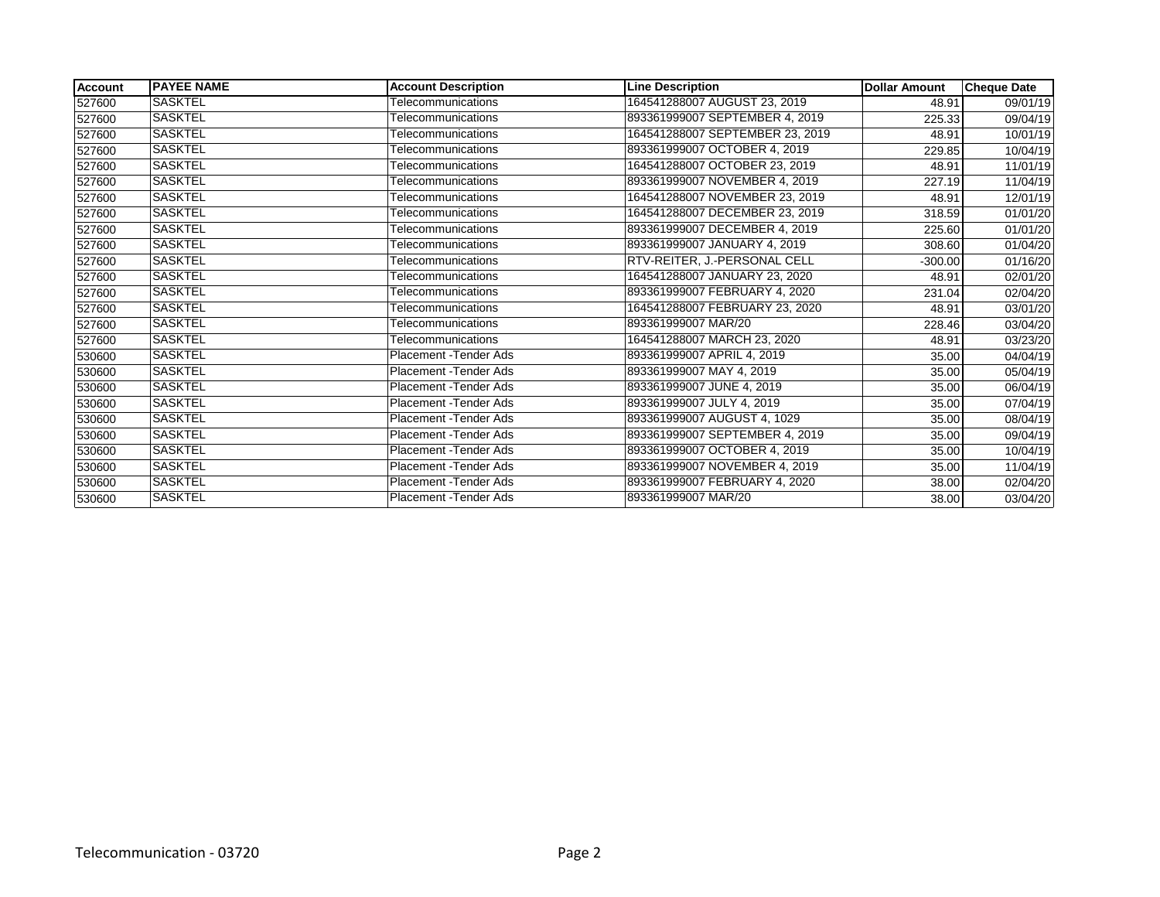| Account | <b>IPAYEE NAME</b> | <b>Account Description</b> | <b>Line Description</b>         | <b>Dollar Amount</b> | <b>Cheque Date</b>    |
|---------|--------------------|----------------------------|---------------------------------|----------------------|-----------------------|
| 527600  | <b>SASKTEL</b>     | Telecommunications         | 164541288007 AUGUST 23, 2019    | 48.91                | 09/01/19              |
| 527600  | <b>SASKTEL</b>     | Telecommunications         | 893361999007 SEPTEMBER 4, 2019  | 225.33               | 09/04/19              |
| 527600  | <b>SASKTEL</b>     | Telecommunications         | 164541288007 SEPTEMBER 23, 2019 | 48.91                | 10/01/19              |
| 527600  | <b>SASKTEL</b>     | Telecommunications         | 893361999007 OCTOBER 4, 2019    | 229.85               | 10/04/19              |
| 527600  | <b>SASKTEL</b>     | Telecommunications         | 164541288007 OCTOBER 23, 2019   | 48.91                | 11/01/19              |
| 527600  | <b>SASKTEL</b>     | Telecommunications         | 893361999007 NOVEMBER 4, 2019   | 227.19               | 11/04/19              |
| 527600  | <b>SASKTEL</b>     | Telecommunications         | 164541288007 NOVEMBER 23, 2019  | 48.91                | 12/01/19              |
| 527600  | <b>SASKTEL</b>     | Telecommunications         | 164541288007 DECEMBER 23, 2019  | 318.59               | 01/01/20              |
| 527600  | <b>SASKTEL</b>     | Telecommunications         | 893361999007 DECEMBER 4, 2019   | 225.60               | 01/01/20              |
| 527600  | <b>SASKTEL</b>     | Telecommunications         | 893361999007 JANUARY 4, 2019    | 308.60               | 01/04/20              |
| 527600  | <b>SASKTEL</b>     | Telecommunications         | RTV-REITER, J.-PERSONAL CELL    | $-300.00$            | 01/16/20              |
| 527600  | <b>SASKTEL</b>     | Telecommunications         | 164541288007 JANUARY 23, 2020   | 48.91                | 02/01/20              |
| 527600  | <b>SASKTEL</b>     | Telecommunications         | 893361999007 FEBRUARY 4, 2020   | 231.04               | 02/04/20              |
| 527600  | SASKTEL            | Telecommunications         | 164541288007 FEBRUARY 23, 2020  | 48.91                | 03/01/20              |
| 527600  | <b>SASKTEL</b>     | Telecommunications         | 893361999007 MAR/20             | 228.46               | 03/04/20              |
| 527600  | <b>SASKTEL</b>     | Telecommunications         | 164541288007 MARCH 23, 2020     | 48.91                | $\overline{03}/23/20$ |
| 530600  | <b>SASKTEL</b>     | Placement - Tender Ads     | 893361999007 APRIL 4, 2019      | 35.00                | 04/04/19              |
| 530600  | <b>SASKTEL</b>     | Placement - Tender Ads     | 893361999007 MAY 4, 2019        | 35.00                | 05/04/19              |
| 530600  | <b>SASKTEL</b>     | Placement - Tender Ads     | 893361999007 JUNE 4, 2019       | 35.00                | 06/04/19              |
| 530600  | <b>SASKTEL</b>     | Placement - Tender Ads     | 893361999007 JULY 4, 2019       | 35.00                | 07/04/19              |
| 530600  | SASKTEL            | Placement - Tender Ads     | 893361999007 AUGUST 4, 1029     | 35.00                | 08/04/19              |
| 530600  | <b>SASKTEL</b>     | Placement - Tender Ads     | 893361999007 SEPTEMBER 4, 2019  | 35.00                | 09/04/19              |
| 530600  | SASKTEL            | Placement - Tender Ads     | 893361999007 OCTOBER 4, 2019    | 35.00                | 10/04/19              |
| 530600  | <b>SASKTEL</b>     | Placement - Tender Ads     | 893361999007 NOVEMBER 4, 2019   | 35.00                | 11/04/19              |
| 530600  | <b>SASKTEL</b>     | Placement - Tender Ads     | 893361999007 FEBRUARY 4, 2020   | 38.00                | 02/04/20              |
| 530600  | <b>SASKTEL</b>     | Placement - Tender Ads     | 893361999007 MAR/20             | 38.00                | 03/04/20              |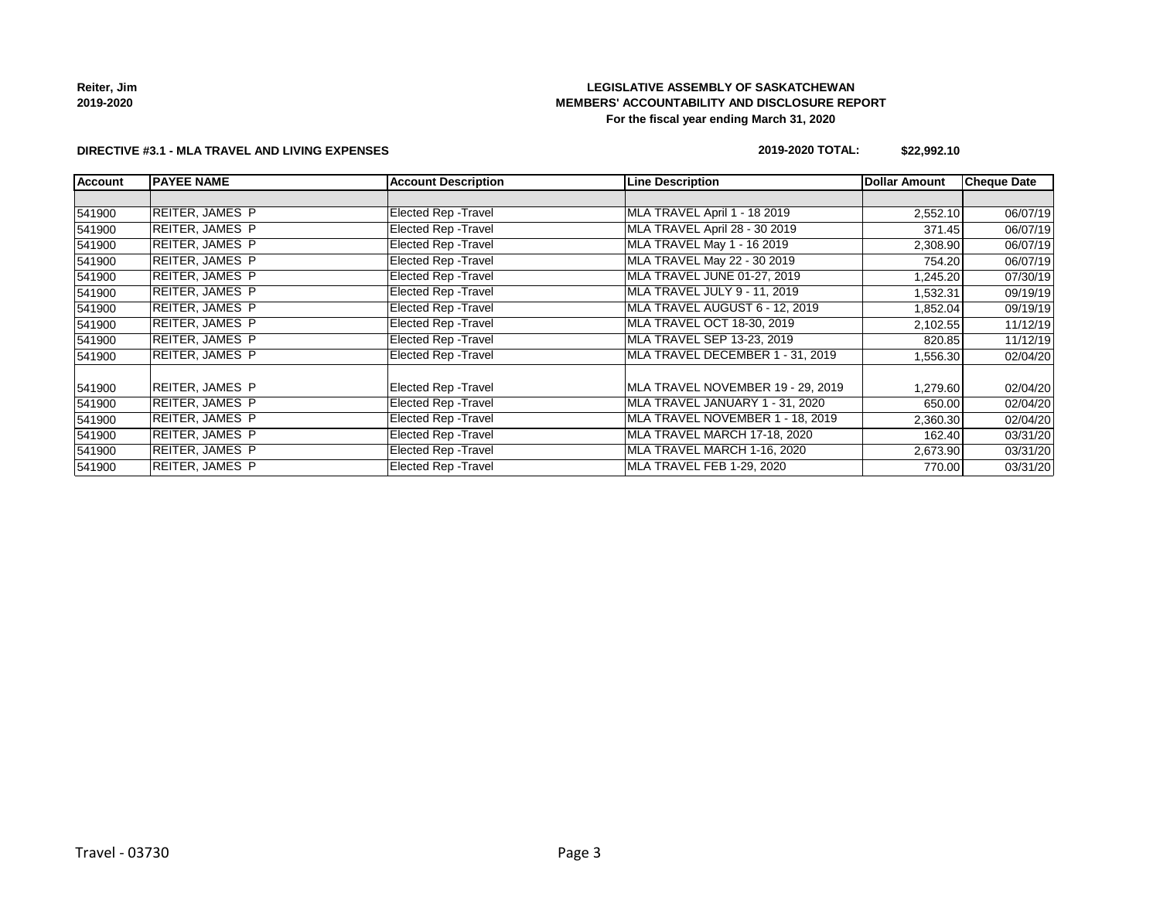| Reiter, Jim |  |
|-------------|--|

**2019-2020**

## **LEGISLATIVE ASSEMBLY OF SASKATCHEWAN MEMBERS' ACCOUNTABILITY AND DISCLOSURE REPORT For the fiscal year ending March 31, 2020**

#### **DIRECTIVE #3.1 - MLA TRAVEL AND LIVING EXPENSES**

#### **2019-2020 TOTAL: \$22,992.10**

| <b>Account</b> | <b>PAYEE NAME</b>      | <b>Account Description</b>  | <b>Line Description</b>           | Dollar Amount | <b>Cheque Date</b> |
|----------------|------------------------|-----------------------------|-----------------------------------|---------------|--------------------|
|                |                        |                             |                                   |               |                    |
| 541900         | <b>REITER, JAMES P</b> | Elected Rep - Travel        | MLA TRAVEL April 1 - 18 2019      | 2,552.10      | 06/07/19           |
| 541900         | <b>REITER, JAMES P</b> | <b>Elected Rep - Travel</b> | MLA TRAVEL April 28 - 30 2019     | 371.45        | 06/07/19           |
| 541900         | <b>REITER, JAMES P</b> | <b>Elected Rep - Travel</b> | MLA TRAVEL May 1 - 16 2019        | 2,308.90      | 06/07/19           |
| 541900         | <b>REITER, JAMES P</b> | <b>Elected Rep - Travel</b> | MLA TRAVEL May 22 - 30 2019       | 754.20        | 06/07/19           |
| 541900         | <b>REITER, JAMES P</b> | Elected Rep - Travel        | MLA TRAVEL JUNE 01-27, 2019       | 1,245.20      | 07/30/19           |
| 541900         | <b>REITER, JAMES P</b> | Elected Rep - Travel        | MLA TRAVEL JULY 9 - 11, 2019      | 1,532.31      | 09/19/19           |
| 541900         | <b>REITER, JAMES P</b> | <b>Elected Rep - Travel</b> | MLA TRAVEL AUGUST 6 - 12, 2019    | 1,852.04      | 09/19/19           |
| 541900         | <b>REITER, JAMES P</b> | <b>Elected Rep - Travel</b> | MLA TRAVEL OCT 18-30, 2019        | 2,102.55      | 11/12/19           |
| 541900         | <b>REITER, JAMES P</b> | <b>Elected Rep - Travel</b> | MLA TRAVEL SEP 13-23, 2019        | 820.85        | 11/12/19           |
| 541900         | <b>REITER, JAMES P</b> | <b>Elected Rep - Travel</b> | MLA TRAVEL DECEMBER 1 - 31, 2019  | 1,556.30      | 02/04/20           |
| 541900         | <b>REITER, JAMES P</b> | Elected Rep - Travel        | MLA TRAVEL NOVEMBER 19 - 29, 2019 | 1,279.60      | 02/04/20           |
| 541900         | <b>REITER, JAMES P</b> | Elected Rep - Travel        | MLA TRAVEL JANUARY 1 - 31, 2020   | 650.00        | 02/04/20           |
| 541900         | <b>REITER, JAMES P</b> | Elected Rep - Travel        | MLA TRAVEL NOVEMBER 1 - 18, 2019  | 2,360.30      | 02/04/20           |
| 541900         | <b>REITER, JAMES P</b> | Elected Rep - Travel        | MLA TRAVEL MARCH 17-18, 2020      | 162.40        | 03/31/20           |
| 541900         | REITER, JAMES P        | Elected Rep - Travel        | MLA TRAVEL MARCH 1-16, 2020       | 2,673.90      | 03/31/20           |
| 541900         | <b>REITER, JAMES P</b> | Elected Rep - Travel        | MLA TRAVEL FEB 1-29, 2020         | 770.00        | 03/31/20           |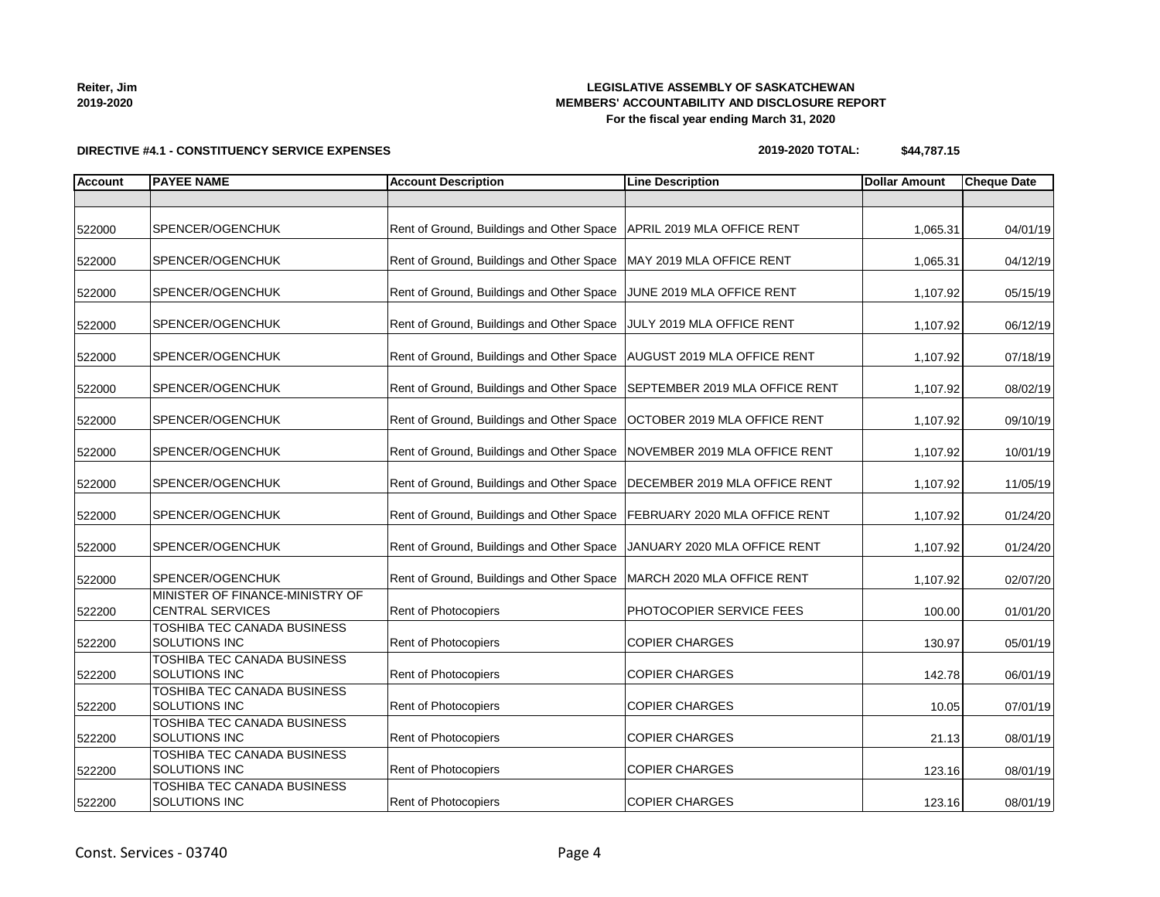**2019-2020**

## **LEGISLATIVE ASSEMBLY OF SASKATCHEWAN MEMBERS' ACCOUNTABILITY AND DISCLOSURE REPORT For the fiscal year ending March 31, 2020**

# **DIRECTIVE #4.1 - CONSTITUENCY SERVICE EXPENSES**

## **2019-2020 TOTAL: \$44,787.15**

| <b>Account</b> | <b>PAYEE NAME</b>                                          | <b>Account Description</b>                | <b>Line Description</b>            | <b>Dollar Amount</b> | <b>Cheque Date</b> |
|----------------|------------------------------------------------------------|-------------------------------------------|------------------------------------|----------------------|--------------------|
|                |                                                            |                                           |                                    |                      |                    |
| 522000         | SPENCER/OGENCHUK                                           | Rent of Ground, Buildings and Other Space | APRIL 2019 MLA OFFICE RENT         | 1,065.31             | 04/01/19           |
| 522000         | SPENCER/OGENCHUK                                           | Rent of Ground, Buildings and Other Space | MAY 2019 MLA OFFICE RENT           | 1,065.31             | 04/12/19           |
| 522000         | SPENCER/OGENCHUK                                           | Rent of Ground, Buildings and Other Space | JUNE 2019 MLA OFFICE RENT          | 1,107.92             | 05/15/19           |
| 522000         | SPENCER/OGENCHUK                                           | Rent of Ground, Buildings and Other Space | JULY 2019 MLA OFFICE RENT          | 1,107.92             | 06/12/19           |
| 522000         | SPENCER/OGENCHUK                                           | Rent of Ground, Buildings and Other Space | <b>AUGUST 2019 MLA OFFICE RENT</b> | 1,107.92             | 07/18/19           |
| 522000         | SPENCER/OGENCHUK                                           | Rent of Ground, Buildings and Other Space | SEPTEMBER 2019 MLA OFFICE RENT     | 1,107.92             | 08/02/19           |
| 522000         | SPENCER/OGENCHUK                                           | Rent of Ground, Buildings and Other Space | OCTOBER 2019 MLA OFFICE RENT       | 1,107.92             | 09/10/19           |
| 522000         | SPENCER/OGENCHUK                                           | Rent of Ground, Buildings and Other Space | NOVEMBER 2019 MLA OFFICE RENT      | 1,107.92             | 10/01/19           |
| 522000         | SPENCER/OGENCHUK                                           | Rent of Ground, Buildings and Other Space | DECEMBER 2019 MLA OFFICE RENT      | 1,107.92             | 11/05/19           |
| 522000         | SPENCER/OGENCHUK                                           | Rent of Ground, Buildings and Other Space | FEBRUARY 2020 MLA OFFICE RENT      | 1,107.92             | 01/24/20           |
| 522000         | SPENCER/OGENCHUK                                           | Rent of Ground, Buildings and Other Space | JANUARY 2020 MLA OFFICE RENT       | 1,107.92             | 01/24/20           |
| 522000         | SPENCER/OGENCHUK                                           | Rent of Ground, Buildings and Other Space | MARCH 2020 MLA OFFICE RENT         | 1,107.92             | 02/07/20           |
| 522200         | MINISTER OF FINANCE-MINISTRY OF<br><b>CENTRAL SERVICES</b> | Rent of Photocopiers                      | PHOTOCOPIER SERVICE FEES           | 100.00               | 01/01/20           |
| 522200         | TOSHIBA TEC CANADA BUSINESS<br>SOLUTIONS INC               | Rent of Photocopiers                      | <b>COPIER CHARGES</b>              | 130.97               | 05/01/19           |
| 522200         | TOSHIBA TEC CANADA BUSINESS<br>SOLUTIONS INC               | Rent of Photocopiers                      | <b>COPIER CHARGES</b>              | 142.78               | 06/01/19           |
| 522200         | TOSHIBA TEC CANADA BUSINESS<br>SOLUTIONS INC               | Rent of Photocopiers                      | <b>COPIER CHARGES</b>              | 10.05                | 07/01/19           |
| 522200         | TOSHIBA TEC CANADA BUSINESS<br>SOLUTIONS INC               | Rent of Photocopiers                      | <b>COPIER CHARGES</b>              | 21.13                | 08/01/19           |
| 522200         | TOSHIBA TEC CANADA BUSINESS<br>SOLUTIONS INC               | Rent of Photocopiers                      | <b>COPIER CHARGES</b>              | 123.16               | 08/01/19           |
| 522200         | TOSHIBA TEC CANADA BUSINESS<br>SOLUTIONS INC               | <b>Rent of Photocopiers</b>               | <b>COPIER CHARGES</b>              | 123.16               | 08/01/19           |

**Reiter, Jim**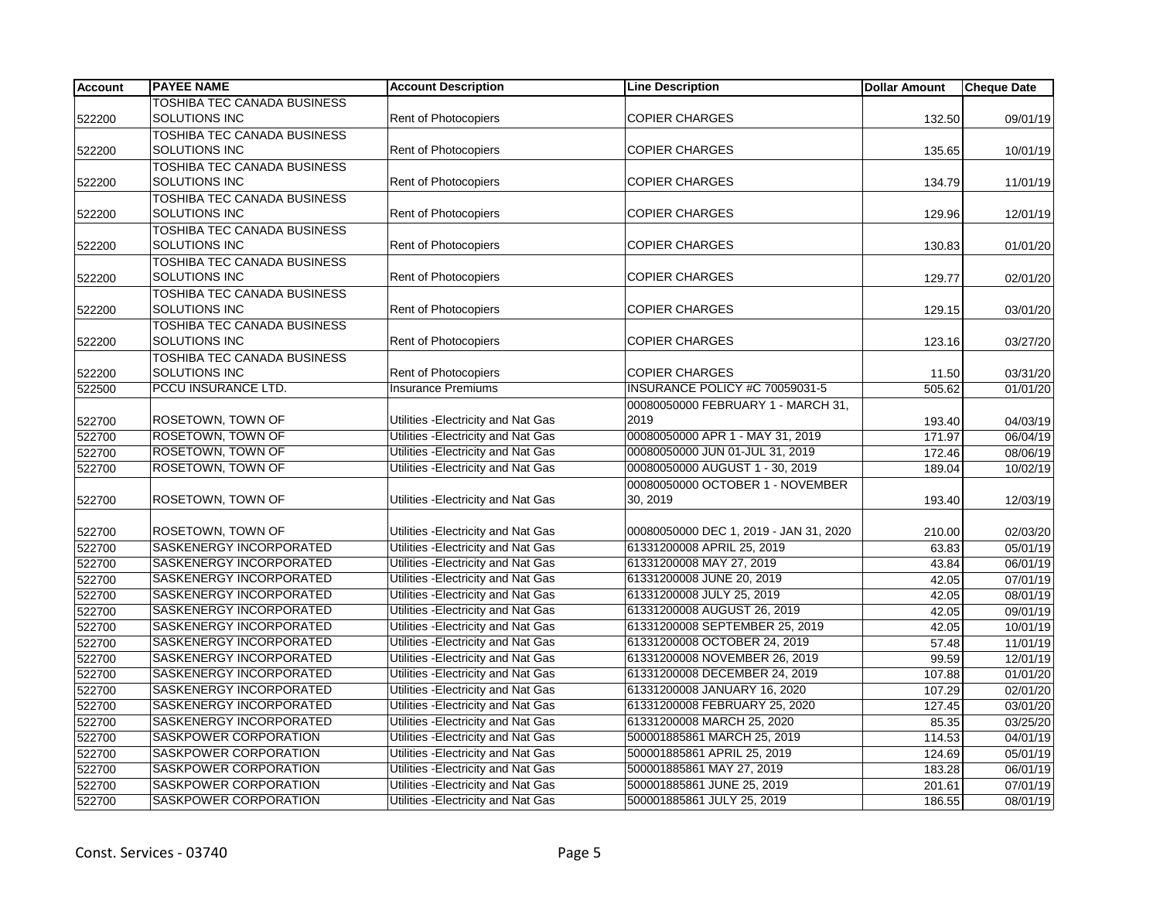| <b>Account</b> | <b>PAYEE NAME</b>                  | <b>Account Description</b>          | <b>Line Description</b>                | <b>Dollar Amount</b> | <b>Cheque Date</b> |
|----------------|------------------------------------|-------------------------------------|----------------------------------------|----------------------|--------------------|
|                | <b>TOSHIBA TEC CANADA BUSINESS</b> |                                     |                                        |                      |                    |
| 522200         | SOLUTIONS INC                      | Rent of Photocopiers                | <b>COPIER CHARGES</b>                  | 132.50               | 09/01/19           |
|                | TOSHIBA TEC CANADA BUSINESS        |                                     |                                        |                      |                    |
| 522200         | <b>SOLUTIONS INC</b>               | Rent of Photocopiers                | <b>COPIER CHARGES</b>                  | 135.65               | 10/01/19           |
|                | TOSHIBA TEC CANADA BUSINESS        |                                     |                                        |                      |                    |
| 522200         | <b>SOLUTIONS INC</b>               | <b>Rent of Photocopiers</b>         | <b>COPIER CHARGES</b>                  | 134.79               | 11/01/19           |
|                | TOSHIBA TEC CANADA BUSINESS        |                                     |                                        |                      |                    |
| 522200         | SOLUTIONS INC                      | Rent of Photocopiers                | <b>COPIER CHARGES</b>                  | 129.96               | 12/01/19           |
|                | TOSHIBA TEC CANADA BUSINESS        |                                     |                                        |                      |                    |
| 522200         | SOLUTIONS INC                      | Rent of Photocopiers                | <b>COPIER CHARGES</b>                  | 130.83               | 01/01/20           |
|                | TOSHIBA TEC CANADA BUSINESS        |                                     |                                        |                      |                    |
| 522200         | <b>SOLUTIONS INC</b>               | <b>Rent of Photocopiers</b>         | <b>COPIER CHARGES</b>                  | 129.77               | 02/01/20           |
|                | TOSHIBA TEC CANADA BUSINESS        |                                     |                                        |                      |                    |
| 522200         | SOLUTIONS INC                      | Rent of Photocopiers                | <b>COPIER CHARGES</b>                  | 129.15               | 03/01/20           |
|                | TOSHIBA TEC CANADA BUSINESS        |                                     |                                        |                      |                    |
| 522200         | SOLUTIONS INC                      | Rent of Photocopiers                | <b>COPIER CHARGES</b>                  | 123.16               | 03/27/20           |
|                | TOSHIBA TEC CANADA BUSINESS        |                                     |                                        |                      |                    |
| 522200         | SOLUTIONS INC                      | Rent of Photocopiers                | <b>COPIER CHARGES</b>                  | 11.50                | 03/31/20           |
| 522500         | PCCU INSURANCE LTD.                | <b>Insurance Premiums</b>           | INSURANCE POLICY #C 70059031-5         | 505.62               | 01/01/20           |
|                |                                    |                                     | 00080050000 FEBRUARY 1 - MARCH 31,     |                      |                    |
| 522700         | ROSETOWN, TOWN OF                  | Utilities - Electricity and Nat Gas | 2019                                   | 193.40               | 04/03/19           |
| 522700         | ROSETOWN, TOWN OF                  | Utilities - Electricity and Nat Gas | 00080050000 APR 1 - MAY 31, 2019       | 171.97               | 06/04/19           |
| 522700         | ROSETOWN, TOWN OF                  | Utilities - Electricity and Nat Gas | 00080050000 JUN 01-JUL 31, 2019        | 172.46               | 08/06/19           |
| 522700         | ROSETOWN, TOWN OF                  | Utilities - Electricity and Nat Gas | 00080050000 AUGUST 1 - 30, 2019        | 189.04               | 10/02/19           |
|                |                                    |                                     | 00080050000 OCTOBER 1 - NOVEMBER       |                      |                    |
| 522700         | ROSETOWN, TOWN OF                  | Utilities - Electricity and Nat Gas | 30, 2019                               | 193.40               | 12/03/19           |
|                |                                    |                                     |                                        |                      |                    |
| 522700         | ROSETOWN, TOWN OF                  | Utilities - Electricity and Nat Gas | 00080050000 DEC 1, 2019 - JAN 31, 2020 | 210.00               | 02/03/20           |
| 522700         | SASKENERGY INCORPORATED            | Utilities - Electricity and Nat Gas | 61331200008 APRIL 25, 2019             | 63.83                | 05/01/19           |
| 522700         | SASKENERGY INCORPORATED            | Utilities - Electricity and Nat Gas | 61331200008 MAY 27, 2019               | 43.84                | 06/01/19           |
| 522700         | SASKENERGY INCORPORATED            | Utilities - Electricity and Nat Gas | 61331200008 JUNE 20, 2019              | 42.05                | 07/01/19           |
| 522700         | <b>SASKENERGY INCORPORATED</b>     | Utilities - Electricity and Nat Gas | 61331200008 JULY 25, 2019              | 42.05                | 08/01/19           |
| 522700         | SASKENERGY INCORPORATED            | Utilities - Electricity and Nat Gas | 61331200008 AUGUST 26, 2019            | 42.05                | 09/01/19           |
| 522700         | SASKENERGY INCORPORATED            | Utilities - Electricity and Nat Gas | 61331200008 SEPTEMBER 25, 2019         | 42.05                | 10/01/19           |
| 522700         | SASKENERGY INCORPORATED            | Utilities - Electricity and Nat Gas | 61331200008 OCTOBER 24, 2019           | 57.48                | 11/01/19           |
| 522700         | SASKENERGY INCORPORATED            | Utilities - Electricity and Nat Gas | 61331200008 NOVEMBER 26, 2019          | 99.59                | 12/01/19           |
| 522700         | SASKENERGY INCORPORATED            | Utilities - Electricity and Nat Gas | 61331200008 DECEMBER 24, 2019          | 107.88               | 01/01/20           |
| 522700         | SASKENERGY INCORPORATED            | Utilities - Electricity and Nat Gas | 61331200008 JANUARY 16, 2020           | 107.29               | 02/01/20           |
| 522700         | SASKENERGY INCORPORATED            | Utilities - Electricity and Nat Gas | 61331200008 FEBRUARY 25, 2020          | 127.45               | 03/01/20           |
| 522700         | SASKENERGY INCORPORATED            | Utilities - Electricity and Nat Gas | 61331200008 MARCH 25, 2020             | 85.35                | 03/25/20           |
| 522700         | SASKPOWER CORPORATION              | Utilities - Electricity and Nat Gas | 500001885861 MARCH 25, 2019            | 114.53               | 04/01/19           |
| 522700         | <b>SASKPOWER CORPORATION</b>       | Utilities - Electricity and Nat Gas | 500001885861 APRIL 25, 2019            | 124.69               | 05/01/19           |
| 522700         | SASKPOWER CORPORATION              | Utilities - Electricity and Nat Gas | 500001885861 MAY 27, 2019              | 183.28               | 06/01/19           |
| 522700         | SASKPOWER CORPORATION              | Utilities - Electricity and Nat Gas | 500001885861 JUNE 25, 2019             | 201.61               | 07/01/19           |
| 522700         | SASKPOWER CORPORATION              | Utilities - Electricity and Nat Gas | 500001885861 JULY 25, 2019             | 186.55               | 08/01/19           |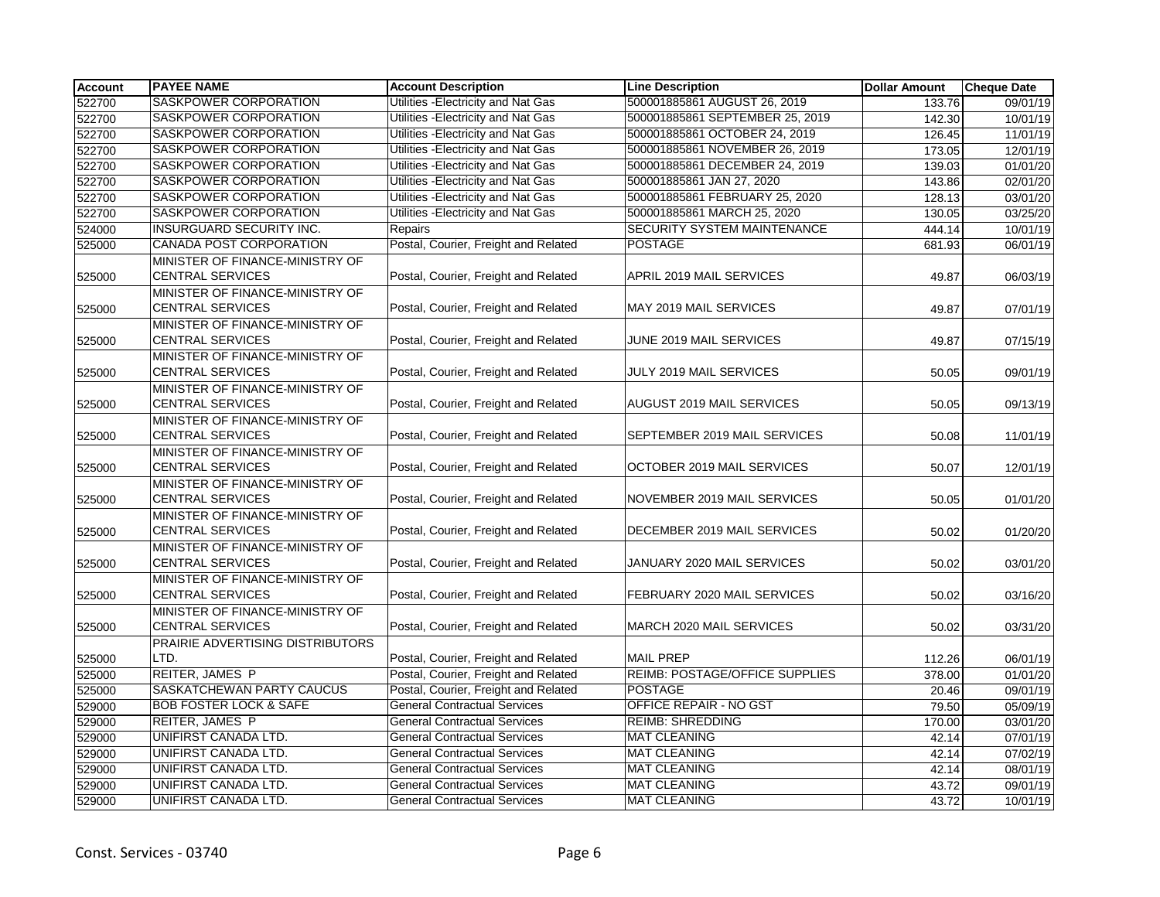| <b>Account</b> | <b>PAYEE NAME</b>                                          | <b>Account Description</b>           | <b>Line Description</b>         | <b>Dollar Amount</b> | <b>Cheque Date</b> |
|----------------|------------------------------------------------------------|--------------------------------------|---------------------------------|----------------------|--------------------|
| 522700         | SASKPOWER CORPORATION                                      | Utilities - Electricity and Nat Gas  | 500001885861 AUGUST 26, 2019    | 133.76               | 09/01/19           |
| 522700         | <b>SASKPOWER CORPORATION</b>                               | Utilities - Electricity and Nat Gas  | 500001885861 SEPTEMBER 25, 2019 | 142.30               | 10/01/19           |
| 522700         | SASKPOWER CORPORATION                                      | Utilities - Electricity and Nat Gas  | 500001885861 OCTOBER 24, 2019   | 126.45               | 11/01/19           |
| 522700         | SASKPOWER CORPORATION                                      | Utilities - Electricity and Nat Gas  | 500001885861 NOVEMBER 26, 2019  | 173.05               | 12/01/19           |
| 522700         | SASKPOWER CORPORATION                                      | Utilities - Electricity and Nat Gas  | 500001885861 DECEMBER 24, 2019  | 139.03               | 01/01/20           |
| 522700         | SASKPOWER CORPORATION                                      | Utilities - Electricity and Nat Gas  | 500001885861 JAN 27, 2020       | 143.86               | 02/01/20           |
| 522700         | <b>SASKPOWER CORPORATION</b>                               | Utilities - Electricity and Nat Gas  | 500001885861 FEBRUARY 25, 2020  | 128.13               | 03/01/20           |
| 522700         | SASKPOWER CORPORATION                                      | Utilities - Electricity and Nat Gas  | 500001885861 MARCH 25, 2020     | 130.05               | 03/25/20           |
| 524000         | INSURGUARD SECURITY INC.                                   | Repairs                              | SECURITY SYSTEM MAINTENANCE     | 444.14               | 10/01/19           |
| 525000         | <b>CANADA POST CORPORATION</b>                             | Postal, Courier, Freight and Related | <b>POSTAGE</b>                  | 681.93               | 06/01/19           |
| 525000         | MINISTER OF FINANCE-MINISTRY OF<br><b>CENTRAL SERVICES</b> | Postal, Courier, Freight and Related | APRIL 2019 MAIL SERVICES        | 49.87                | 06/03/19           |
| 525000         | MINISTER OF FINANCE-MINISTRY OF<br><b>CENTRAL SERVICES</b> | Postal, Courier, Freight and Related | MAY 2019 MAIL SERVICES          | 49.87                | 07/01/19           |
| 525000         | MINISTER OF FINANCE-MINISTRY OF<br><b>CENTRAL SERVICES</b> | Postal, Courier, Freight and Related | JUNE 2019 MAIL SERVICES         | 49.87                | 07/15/19           |
| 525000         | MINISTER OF FINANCE-MINISTRY OF<br><b>CENTRAL SERVICES</b> | Postal, Courier, Freight and Related | JULY 2019 MAIL SERVICES         | 50.05                | 09/01/19           |
|                | MINISTER OF FINANCE-MINISTRY OF<br><b>CENTRAL SERVICES</b> | Postal, Courier, Freight and Related | AUGUST 2019 MAIL SERVICES       | 50.05                | 09/13/19           |
| 525000         | MINISTER OF FINANCE-MINISTRY OF                            |                                      |                                 |                      |                    |
| 525000         | <b>CENTRAL SERVICES</b>                                    | Postal, Courier, Freight and Related | SEPTEMBER 2019 MAIL SERVICES    | 50.08                | 11/01/19           |
| 525000         | MINISTER OF FINANCE-MINISTRY OF<br><b>CENTRAL SERVICES</b> | Postal, Courier, Freight and Related | OCTOBER 2019 MAIL SERVICES      | 50.07                | 12/01/19           |
| 525000         | MINISTER OF FINANCE-MINISTRY OF<br><b>CENTRAL SERVICES</b> | Postal, Courier, Freight and Related | NOVEMBER 2019 MAIL SERVICES     | 50.05                | 01/01/20           |
| 525000         | MINISTER OF FINANCE-MINISTRY OF<br><b>CENTRAL SERVICES</b> | Postal, Courier, Freight and Related | DECEMBER 2019 MAIL SERVICES     | 50.02                | 01/20/20           |
| 525000         | MINISTER OF FINANCE-MINISTRY OF<br><b>CENTRAL SERVICES</b> | Postal, Courier, Freight and Related | JANUARY 2020 MAIL SERVICES      | 50.02                | 03/01/20           |
| 525000         | MINISTER OF FINANCE-MINISTRY OF<br><b>CENTRAL SERVICES</b> | Postal, Courier, Freight and Related | FEBRUARY 2020 MAIL SERVICES     | 50.02                | 03/16/20           |
| 525000         | MINISTER OF FINANCE-MINISTRY OF<br><b>CENTRAL SERVICES</b> | Postal, Courier, Freight and Related | MARCH 2020 MAIL SERVICES        | 50.02                | 03/31/20           |
| 525000         | PRAIRIE ADVERTISING DISTRIBUTORS<br>LTD.                   | Postal, Courier, Freight and Related | <b>MAIL PREP</b>                | 112.26               | 06/01/19           |
| 525000         | <b>REITER, JAMES P</b>                                     | Postal, Courier, Freight and Related | REIMB: POSTAGE/OFFICE SUPPLIES  | 378.00               | 01/01/20           |
| 525000         | SASKATCHEWAN PARTY CAUCUS                                  | Postal, Courier, Freight and Related | <b>POSTAGE</b>                  | 20.46                | 09/01/19           |
| 529000         | <b>BOB FOSTER LOCK &amp; SAFE</b>                          | <b>General Contractual Services</b>  | <b>OFFICE REPAIR - NO GST</b>   | 79.50                | 05/09/19           |
| 529000         | REITER, JAMES P                                            | <b>General Contractual Services</b>  | <b>REIMB: SHREDDING</b>         | 170.00               | 03/01/20           |
| 529000         | UNIFIRST CANADA LTD.                                       | <b>General Contractual Services</b>  | <b>MAT CLEANING</b>             | 42.14                | 07/01/19           |
| 529000         | UNIFIRST CANADA LTD.                                       | <b>General Contractual Services</b>  | <b>MAT CLEANING</b>             | 42.14                | 07/02/19           |
| 529000         | UNIFIRST CANADA LTD.                                       | <b>General Contractual Services</b>  | <b>MAT CLEANING</b>             | 42.14                | 08/01/19           |
| 529000         | UNIFIRST CANADA LTD.                                       | <b>General Contractual Services</b>  | <b>MAT CLEANING</b>             | 43.72                | 09/01/19           |
| 529000         | UNIFIRST CANADA LTD.                                       | <b>General Contractual Services</b>  | <b>MAT CLEANING</b>             | 43.72                | 10/01/19           |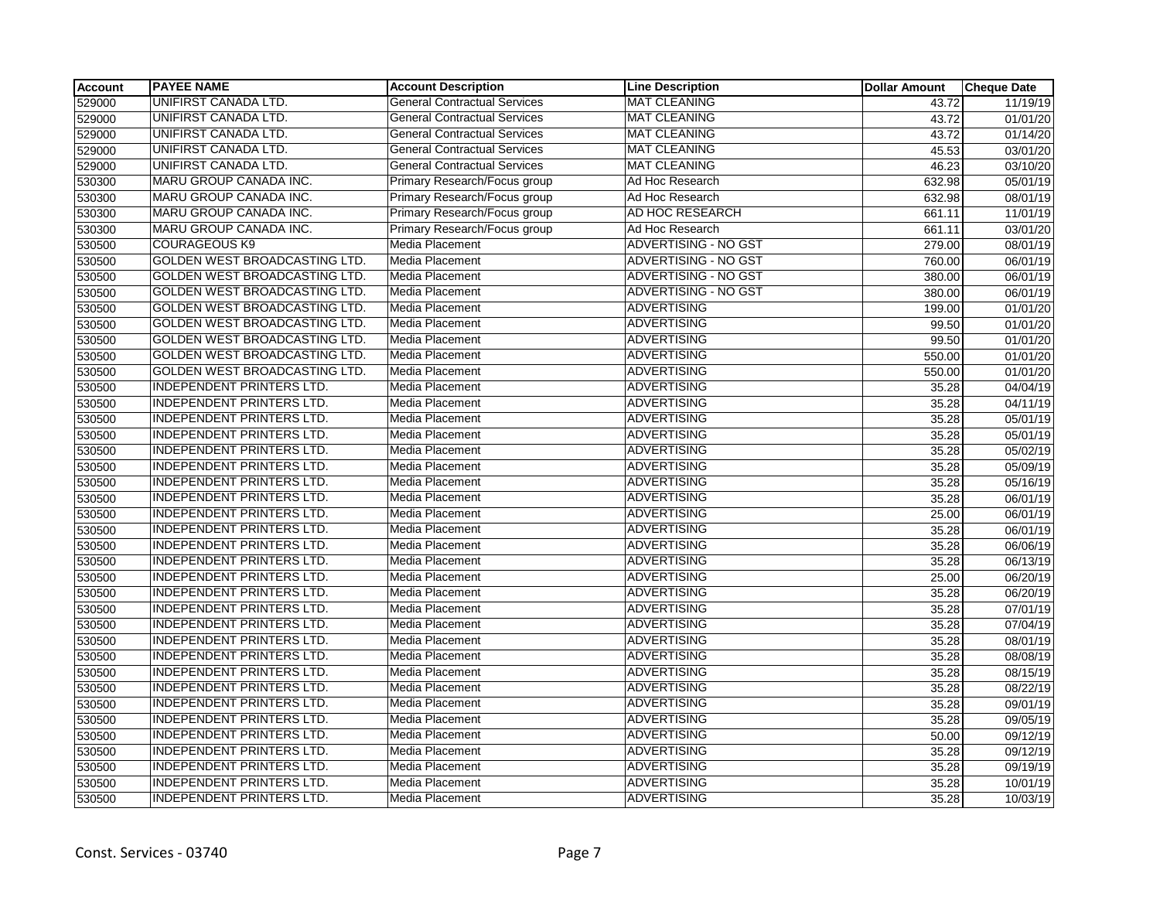| <b>Account</b> | <b>PAYEE NAME</b>                    | <b>Account Description</b>          | <b>Line Description</b>     | <b>Dollar Amount</b> | <b>Cheque Date</b> |
|----------------|--------------------------------------|-------------------------------------|-----------------------------|----------------------|--------------------|
| 529000         | UNIFIRST CANADA LTD.                 | <b>General Contractual Services</b> | <b>MAT CLEANING</b>         | 43.72                | 11/19/19           |
| 529000         | UNIFIRST CANADA LTD.                 | <b>General Contractual Services</b> | <b>MAT CLEANING</b>         | 43.72                | 01/01/20           |
| 529000         | <b>UNIFIRST CANADA LTD.</b>          | <b>General Contractual Services</b> | <b>MAT CLEANING</b>         | 43.72                | 01/14/20           |
| 529000         | UNIFIRST CANADA LTD.                 | General Contractual Services        | <b>MAT CLEANING</b>         | 45.53                | 03/01/20           |
| 529000         | UNIFIRST CANADA LTD.                 | <b>General Contractual Services</b> | <b>MAT CLEANING</b>         | 46.23                | 03/10/20           |
| 530300         | MARU GROUP CANADA INC.               | Primary Research/Focus group        | Ad Hoc Research             | 632.98               | 05/01/19           |
| 530300         | MARU GROUP CANADA INC.               | Primary Research/Focus group        | Ad Hoc Research             | 632.98               | 08/01/19           |
| 530300         | MARU GROUP CANADA INC.               | Primary Research/Focus group        | AD HOC RESEARCH             | 661.11               | 11/01/19           |
| 530300         | MARU GROUP CANADA INC.               | Primary Research/Focus group        | Ad Hoc Research             | 661.11               | 03/01/20           |
| 530500         | <b>COURAGEOUS K9</b>                 | Media Placement                     | <b>ADVERTISING - NO GST</b> | 279.00               | 08/01/19           |
| 530500         | <b>GOLDEN WEST BROADCASTING LTD.</b> | Media Placement                     | ADVERTISING - NO GST        | 760.00               | 06/01/19           |
| 530500         | <b>GOLDEN WEST BROADCASTING LTD.</b> | Media Placement                     | <b>ADVERTISING - NO GST</b> | 380.00               | 06/01/19           |
| 530500         | GOLDEN WEST BROADCASTING LTD.        | <b>Media Placement</b>              | <b>ADVERTISING - NO GST</b> | 380.00               | 06/01/19           |
| 530500         | GOLDEN WEST BROADCASTING LTD.        | Media Placement                     | <b>ADVERTISING</b>          | 199.00               | 01/01/20           |
| 530500         | GOLDEN WEST BROADCASTING LTD.        | Media Placement                     | <b>ADVERTISING</b>          | 99.50                | 01/01/20           |
| 530500         | GOLDEN WEST BROADCASTING LTD.        | Media Placement                     | <b>ADVERTISING</b>          | 99.50                | 01/01/20           |
| 530500         | GOLDEN WEST BROADCASTING LTD.        | Media Placement                     | <b>ADVERTISING</b>          | 550.00               | 01/01/20           |
| 530500         | GOLDEN WEST BROADCASTING LTD.        | Media Placement                     | <b>ADVERTISING</b>          | 550.00               | 01/01/20           |
| 530500         | <b>INDEPENDENT PRINTERS LTD.</b>     | Media Placement                     | <b>ADVERTISING</b>          | 35.28                | 04/04/19           |
| 530500         | <b>INDEPENDENT PRINTERS LTD.</b>     | Media Placement                     | <b>ADVERTISING</b>          | 35.28                | 04/11/19           |
| 530500         | <b>INDEPENDENT PRINTERS LTD.</b>     | Media Placement                     | <b>ADVERTISING</b>          | 35.28                | 05/01/19           |
| 530500         | INDEPENDENT PRINTERS LTD.            | Media Placement                     | <b>ADVERTISING</b>          | 35.28                | 05/01/19           |
| 530500         | <b>INDEPENDENT PRINTERS LTD.</b>     | Media Placement                     | <b>ADVERTISING</b>          | 35.28                | 05/02/19           |
| 530500         | <b>INDEPENDENT PRINTERS LTD.</b>     | Media Placement                     | <b>ADVERTISING</b>          | 35.28                | 05/09/19           |
| 530500         | <b>INDEPENDENT PRINTERS LTD.</b>     | Media Placement                     | <b>ADVERTISING</b>          | 35.28                | 05/16/19           |
| 530500         | <b>INDEPENDENT PRINTERS LTD.</b>     | Media Placement                     | <b>ADVERTISING</b>          | 35.28                | 06/01/19           |
| 530500         | <b>INDEPENDENT PRINTERS LTD.</b>     | Media Placement                     | <b>ADVERTISING</b>          | 25.00                | 06/01/19           |
| 530500         | <b>INDEPENDENT PRINTERS LTD.</b>     | Media Placement                     | <b>ADVERTISING</b>          | 35.28                | 06/01/19           |
| 530500         | <b>INDEPENDENT PRINTERS LTD.</b>     | Media Placement                     | <b>ADVERTISING</b>          | 35.28                | 06/06/19           |
| 530500         | <b>INDEPENDENT PRINTERS LTD.</b>     | Media Placement                     | <b>ADVERTISING</b>          | 35.28                | 06/13/19           |
| 530500         | <b>INDEPENDENT PRINTERS LTD.</b>     | <b>Media Placement</b>              | <b>ADVERTISING</b>          | 25.00                | 06/20/19           |
| 530500         | <b>INDEPENDENT PRINTERS LTD.</b>     | Media Placement                     | <b>ADVERTISING</b>          | 35.28                | 06/20/19           |
| 530500         | <b>INDEPENDENT PRINTERS LTD.</b>     | Media Placement                     | <b>ADVERTISING</b>          | 35.28                | 07/01/19           |
| 530500         | <b>INDEPENDENT PRINTERS LTD.</b>     | Media Placement                     | <b>ADVERTISING</b>          | 35.28                | 07/04/19           |
| 530500         | <b>INDEPENDENT PRINTERS LTD.</b>     | Media Placement                     | <b>ADVERTISING</b>          | 35.28                | 08/01/19           |
| 530500         | <b>INDEPENDENT PRINTERS LTD.</b>     | Media Placement                     | <b>ADVERTISING</b>          | 35.28                | 08/08/19           |
| 530500         | <b>INDEPENDENT PRINTERS LTD.</b>     | Media Placement                     | <b>ADVERTISING</b>          | 35.28                | 08/15/19           |
| 530500         | <b>INDEPENDENT PRINTERS LTD.</b>     | Media Placement                     | <b>ADVERTISING</b>          | 35.28                | 08/22/19           |
| 530500         | <b>INDEPENDENT PRINTERS LTD.</b>     | <b>Media Placement</b>              | <b>ADVERTISING</b>          | 35.28                | 09/01/19           |
| 530500         | <b>INDEPENDENT PRINTERS LTD.</b>     | Media Placement                     | <b>ADVERTISING</b>          | 35.28                | 09/05/19           |
| 530500         | <b>INDEPENDENT PRINTERS LTD.</b>     | Media Placement                     | <b>ADVERTISING</b>          | 50.00                | 09/12/19           |
| 530500         | <b>INDEPENDENT PRINTERS LTD.</b>     | Media Placement                     | <b>ADVERTISING</b>          | 35.28                | 09/12/19           |
| 530500         | INDEPENDENT PRINTERS LTD.            | Media Placement                     | <b>ADVERTISING</b>          | 35.28                | 09/19/19           |
| 530500         | <b>INDEPENDENT PRINTERS LTD.</b>     | Media Placement                     | <b>ADVERTISING</b>          | 35.28                | 10/01/19           |
| 530500         | <b>INDEPENDENT PRINTERS LTD.</b>     | Media Placement                     | <b>ADVERTISING</b>          | 35.28                | 10/03/19           |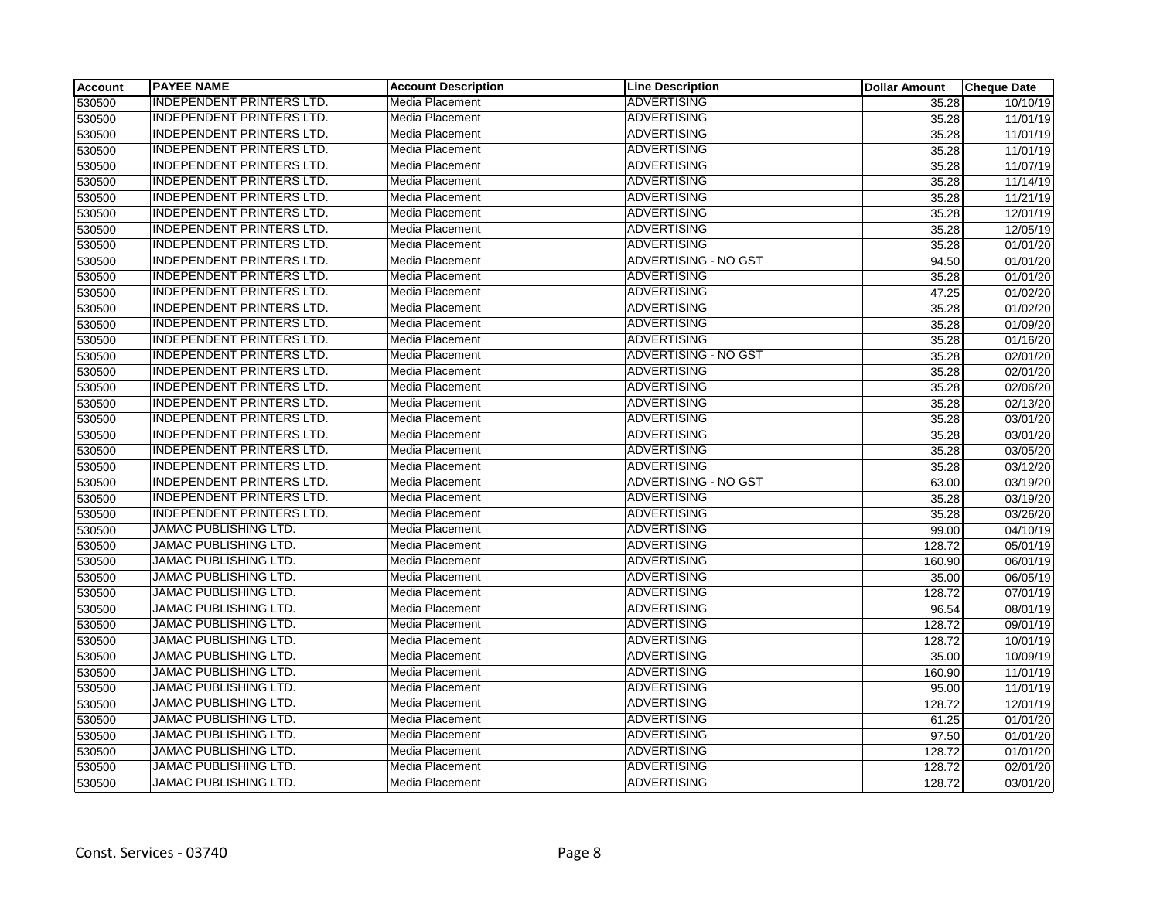| <b>Account</b> | <b>PAYEE NAME</b>                | <b>Account Description</b> | <b>Line Description</b>     | <b>Dollar Amount</b> | <b>Cheque Date</b> |
|----------------|----------------------------------|----------------------------|-----------------------------|----------------------|--------------------|
| 530500         | <b>INDEPENDENT PRINTERS LTD.</b> | Media Placement            | ADVERTISING                 | 35.28                | 10/10/19           |
| 530500         | <b>INDEPENDENT PRINTERS LTD.</b> | Media Placement            | <b>ADVERTISING</b>          | 35.28                | 11/01/19           |
| 530500         | <b>INDEPENDENT PRINTERS LTD.</b> | Media Placement            | <b>ADVERTISING</b>          | 35.28                | 11/01/19           |
| 530500         | <b>INDEPENDENT PRINTERS LTD.</b> | Media Placement            | ADVERTISING                 | 35.28                | 11/01/19           |
| 530500         | <b>INDEPENDENT PRINTERS LTD.</b> | Media Placement            | <b>ADVERTISING</b>          | 35.28                | 11/07/19           |
| 530500         | INDEPENDENT PRINTERS LTD.        | <b>Media Placement</b>     | <b>ADVERTISING</b>          | 35.28                | 11/14/19           |
| 530500         | <b>INDEPENDENT PRINTERS LTD.</b> | Media Placement            | <b>ADVERTISING</b>          | 35.28                | 11/21/19           |
| 530500         | <b>INDEPENDENT PRINTERS LTD.</b> | <b>Media Placement</b>     | <b>ADVERTISING</b>          | 35.28                | 12/01/19           |
| 530500         | <b>INDEPENDENT PRINTERS LTD.</b> | <b>Media Placement</b>     | <b>ADVERTISING</b>          | 35.28                | 12/05/19           |
| 530500         | <b>INDEPENDENT PRINTERS LTD.</b> | Media Placement            | <b>ADVERTISING</b>          | 35.28                | 01/01/20           |
| 530500         | <b>INDEPENDENT PRINTERS LTD.</b> | Media Placement            | ADVERTISING - NO GST        | 94.50                | 01/01/20           |
| 530500         | <b>INDEPENDENT PRINTERS LTD.</b> | Media Placement            | <b>ADVERTISING</b>          | 35.28                | 01/01/20           |
| 530500         | <b>INDEPENDENT PRINTERS LTD.</b> | Media Placement            | <b>ADVERTISING</b>          | 47.25                | 01/02/20           |
| 530500         | INDEPENDENT PRINTERS LTD.        | <b>Media Placement</b>     | <b>ADVERTISING</b>          | 35.28                | 01/02/20           |
| 530500         | <b>INDEPENDENT PRINTERS LTD.</b> | <b>Media Placement</b>     | ADVERTISING                 | 35.28                | 01/09/20           |
| 530500         | <b>INDEPENDENT PRINTERS LTD.</b> | Media Placement            | <b>ADVERTISING</b>          | 35.28                | 01/16/20           |
| 530500         | <b>INDEPENDENT PRINTERS LTD.</b> | Media Placement            | ADVERTISING - NO GST        | 35.28                | 02/01/20           |
| 530500         | <b>INDEPENDENT PRINTERS LTD.</b> | Media Placement            | <b>ADVERTISING</b>          | 35.28                | 02/01/20           |
| 530500         | <b>INDEPENDENT PRINTERS LTD.</b> | Media Placement            | <b>ADVERTISING</b>          | 35.28                | 02/06/20           |
| 530500         | <b>INDEPENDENT PRINTERS LTD.</b> | <b>Media Placement</b>     | <b>ADVERTISING</b>          | 35.28                | 02/13/20           |
| 530500         | <b>INDEPENDENT PRINTERS LTD.</b> | Media Placement            | <b>ADVERTISING</b>          | 35.28                | 03/01/20           |
| 530500         | INDEPENDENT PRINTERS LTD.        | <b>Media Placement</b>     | <b>ADVERTISING</b>          | 35.28                | 03/01/20           |
| 530500         | <b>INDEPENDENT PRINTERS LTD.</b> | <b>Media Placement</b>     | <b>ADVERTISING</b>          | 35.28                | 03/05/20           |
| 530500         | <b>INDEPENDENT PRINTERS LTD.</b> | Media Placement            | <b>ADVERTISING</b>          | 35.28                | 03/12/20           |
| 530500         | <b>INDEPENDENT PRINTERS LTD.</b> | Media Placement            | <b>ADVERTISING - NO GST</b> | 63.00                | 03/19/20           |
| 530500         | <b>INDEPENDENT PRINTERS LTD.</b> | <b>Media Placement</b>     | <b>ADVERTISING</b>          | 35.28                | 03/19/20           |
| 530500         | <b>INDEPENDENT PRINTERS LTD.</b> | Media Placement            | <b>ADVERTISING</b>          | 35.28                | 03/26/20           |
| 530500         | JAMAC PUBLISHING LTD.            | Media Placement            | <b>ADVERTISING</b>          | 99.00                | 04/10/19           |
| 530500         | <b>JAMAC PUBLISHING LTD.</b>     | <b>Media Placement</b>     | <b>ADVERTISING</b>          | 128.72               | 05/01/19           |
| 530500         | JAMAC PUBLISHING LTD.            | Media Placement            | <b>ADVERTISING</b>          | 160.90               | 06/01/19           |
| 530500         | <b>JAMAC PUBLISHING LTD.</b>     | <b>Media Placement</b>     | <b>ADVERTISING</b>          | 35.00                | 06/05/19           |
| 530500         | JAMAC PUBLISHING LTD.            | Media Placement            | <b>ADVERTISING</b>          | 128.72               | 07/01/19           |
| 530500         | <b>JAMAC PUBLISHING LTD.</b>     | Media Placement            | <b>ADVERTISING</b>          | 96.54                | 08/01/19           |
| 530500         | JAMAC PUBLISHING LTD.            | Media Placement            | <b>ADVERTISING</b>          | 128.72               | 09/01/19           |
| 530500         | JAMAC PUBLISHING LTD.            | <b>Media Placement</b>     | <b>ADVERTISING</b>          | 128.72               | 10/01/19           |
| 530500         | JAMAC PUBLISHING LTD.            | <b>Media Placement</b>     | <b>ADVERTISING</b>          | 35.00                | 10/09/19           |
| 530500         | JAMAC PUBLISHING LTD.            | <b>Media Placement</b>     | <b>ADVERTISING</b>          | 160.90               | 11/01/19           |
| 530500         | <b>JAMAC PUBLISHING LTD.</b>     | Media Placement            | <b>ADVERTISING</b>          | 95.00                | 11/01/19           |
| 530500         | <b>JAMAC PUBLISHING LTD.</b>     | Media Placement            | <b>ADVERTISING</b>          | 128.72               | 12/01/19           |
| 530500         | JAMAC PUBLISHING LTD.            | <b>Media Placement</b>     | <b>ADVERTISING</b>          | 61.25                | 01/01/20           |
| 530500         | JAMAC PUBLISHING LTD.            | <b>Media Placement</b>     | ADVERTISING                 | 97.50                | 01/01/20           |
| 530500         | JAMAC PUBLISHING LTD.            | Media Placement            | <b>ADVERTISING</b>          | 128.72               | 01/01/20           |
| 530500         | JAMAC PUBLISHING LTD.            | <b>Media Placement</b>     | <b>ADVERTISING</b>          | 128.72               | 02/01/20           |
| 530500         | JAMAC PUBLISHING LTD.            | Media Placement            | <b>ADVERTISING</b>          | 128.72               | 03/01/20           |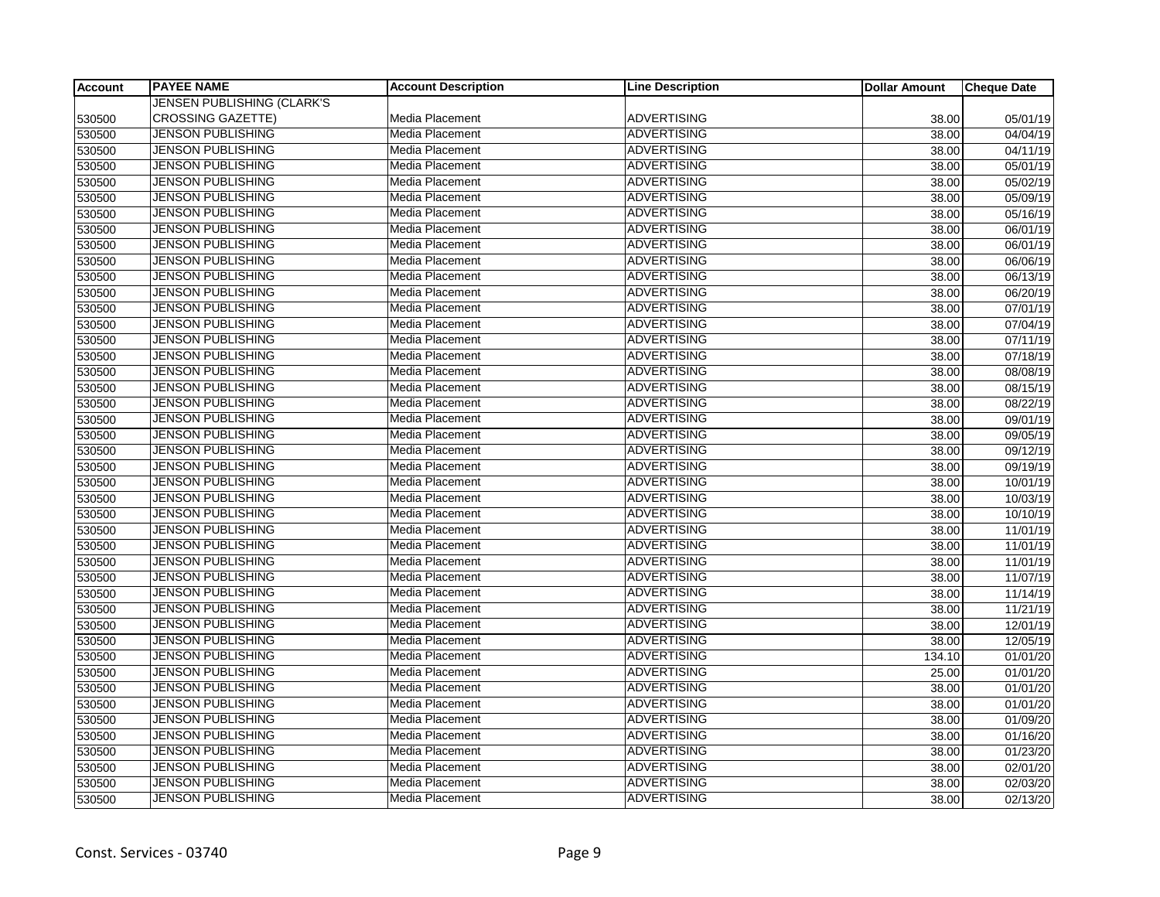| <b>Account</b> | <b>PAYEE NAME</b>                 | <b>Account Description</b> | <b>Line Description</b> | <b>Dollar Amount</b> | <b>Cheque Date</b> |
|----------------|-----------------------------------|----------------------------|-------------------------|----------------------|--------------------|
|                | <b>JENSEN PUBLISHING (CLARK'S</b> |                            |                         |                      |                    |
| 530500         | <b>CROSSING GAZETTE)</b>          | Media Placement            | <b>ADVERTISING</b>      | 38.00                | 05/01/19           |
| 530500         | <b>JENSON PUBLISHING</b>          | Media Placement            | <b>ADVERTISING</b>      | 38.00                | 04/04/19           |
| 530500         | JENSON PUBLISHING                 | Media Placement            | <b>ADVERTISING</b>      | 38.00                | 04/11/19           |
| 530500         | <b>JENSON PUBLISHING</b>          | Media Placement            | <b>ADVERTISING</b>      | 38.00                | 05/01/19           |
| 530500         | <b>JENSON PUBLISHING</b>          | Media Placement            | <b>ADVERTISING</b>      | 38.00                | 05/02/19           |
| 530500         | <b>JENSON PUBLISHING</b>          | Media Placement            | <b>ADVERTISING</b>      | 38.00                | 05/09/19           |
| 530500         | <b>JENSON PUBLISHING</b>          | Media Placement            | <b>ADVERTISING</b>      | 38.00                | 05/16/19           |
| 530500         | <b>JENSON PUBLISHING</b>          | <b>Media Placement</b>     | <b>ADVERTISING</b>      | 38.00                | 06/01/19           |
| 530500         | <b>JENSON PUBLISHING</b>          | Media Placement            | <b>ADVERTISING</b>      | 38.00                | 06/01/19           |
| 530500         | <b>JENSON PUBLISHING</b>          | Media Placement            | <b>ADVERTISING</b>      | 38.00                | 06/06/19           |
| 530500         | <b>JENSON PUBLISHING</b>          | Media Placement            | <b>ADVERTISING</b>      | 38.00                | 06/13/19           |
| 530500         | <b>JENSON PUBLISHING</b>          | Media Placement            | <b>ADVERTISING</b>      | 38.00                | 06/20/19           |
| 530500         | <b>JENSON PUBLISHING</b>          | Media Placement            | <b>ADVERTISING</b>      | 38.00                | 07/01/19           |
| 530500         | <b>JENSON PUBLISHING</b>          | <b>Media Placement</b>     | <b>ADVERTISING</b>      | 38.00                | 07/04/19           |
| 530500         | <b>JENSON PUBLISHING</b>          | Media Placement            | <b>ADVERTISING</b>      | 38.00                | 07/11/19           |
| 530500         | <b>JENSON PUBLISHING</b>          | <b>Media Placement</b>     | <b>ADVERTISING</b>      | 38.00                | 07/18/19           |
| 530500         | <b>JENSON PUBLISHING</b>          | Media Placement            | <b>ADVERTISING</b>      | 38.00                | 08/08/19           |
| 530500         | <b>JENSON PUBLISHING</b>          | Media Placement            | <b>ADVERTISING</b>      | 38.00                | 08/15/19           |
| 530500         | <b>JENSON PUBLISHING</b>          | <b>Media Placement</b>     | <b>ADVERTISING</b>      | 38.00                | 08/22/19           |
| 530500         | <b>JENSON PUBLISHING</b>          | Media Placement            | <b>ADVERTISING</b>      | 38.00                | 09/01/19           |
| 530500         | <b>JENSON PUBLISHING</b>          | Media Placement            | <b>ADVERTISING</b>      | 38.00                | 09/05/19           |
| 530500         | <b>JENSON PUBLISHING</b>          | Media Placement            | <b>ADVERTISING</b>      | 38.00                | 09/12/19           |
| 530500         | JENSON PUBLISHING                 | Media Placement            | <b>ADVERTISING</b>      | 38.00                | 09/19/19           |
| 530500         | <b>JENSON PUBLISHING</b>          | Media Placement            | <b>ADVERTISING</b>      | 38.00                | 10/01/19           |
| 530500         | <b>JENSON PUBLISHING</b>          | Media Placement            | <b>ADVERTISING</b>      | 38.00                | 10/03/19           |
| 530500         | <b>JENSON PUBLISHING</b>          | Media Placement            | <b>ADVERTISING</b>      | 38.00                | 10/10/19           |
| 530500         | <b>JENSON PUBLISHING</b>          | Media Placement            | <b>ADVERTISING</b>      | 38.00                | 11/01/19           |
| 530500         | <b>JENSON PUBLISHING</b>          | Media Placement            | <b>ADVERTISING</b>      | 38.00                | 11/01/19           |
| 530500         | <b>JENSON PUBLISHING</b>          | Media Placement            | <b>ADVERTISING</b>      | 38.00                | 11/01/19           |
| 530500         | <b>JENSON PUBLISHING</b>          | Media Placement            | <b>ADVERTISING</b>      | 38.00                | 11/07/19           |
| 530500         | <b>JENSON PUBLISHING</b>          | Media Placement            | <b>ADVERTISING</b>      | 38.00                | 11/14/19           |
| 530500         | <b>JENSON PUBLISHING</b>          | Media Placement            | <b>ADVERTISING</b>      | 38.00                | 11/21/19           |
| 530500         | <b>JENSON PUBLISHING</b>          | Media Placement            | <b>ADVERTISING</b>      | 38.00                | 12/01/19           |
| 530500         | <b>JENSON PUBLISHING</b>          | Media Placement            | <b>ADVERTISING</b>      | 38.00                | 12/05/19           |
| 530500         | <b>JENSON PUBLISHING</b>          | Media Placement            | <b>ADVERTISING</b>      | 134.10               | 01/01/20           |
| 530500         | <b>JENSON PUBLISHING</b>          | Media Placement            | <b>ADVERTISING</b>      | 25.00                | 01/01/20           |
| 530500         | <b>JENSON PUBLISHING</b>          | Media Placement            | <b>ADVERTISING</b>      | 38.00                | 01/01/20           |
| 530500         | <b>JENSON PUBLISHING</b>          | <b>Media Placement</b>     | <b>ADVERTISING</b>      | 38.00                | 01/01/20           |
| 530500         | <b>JENSON PUBLISHING</b>          | Media Placement            | <b>ADVERTISING</b>      | 38.00                | 01/09/20           |
| 530500         | <b>JENSON PUBLISHING</b>          | Media Placement            | <b>ADVERTISING</b>      | 38.00                | 01/16/20           |
| 530500         | <b>JENSON PUBLISHING</b>          | Media Placement            | <b>ADVERTISING</b>      | 38.00                | 01/23/20           |
| 530500         | <b>JENSON PUBLISHING</b>          | Media Placement            | <b>ADVERTISING</b>      | 38.00                | 02/01/20           |
| 530500         | <b>JENSON PUBLISHING</b>          | Media Placement            | <b>ADVERTISING</b>      | 38.00                | 02/03/20           |
| 530500         | JENSON PUBLISHING                 | Media Placement            | <b>ADVERTISING</b>      | 38.00                | 02/13/20           |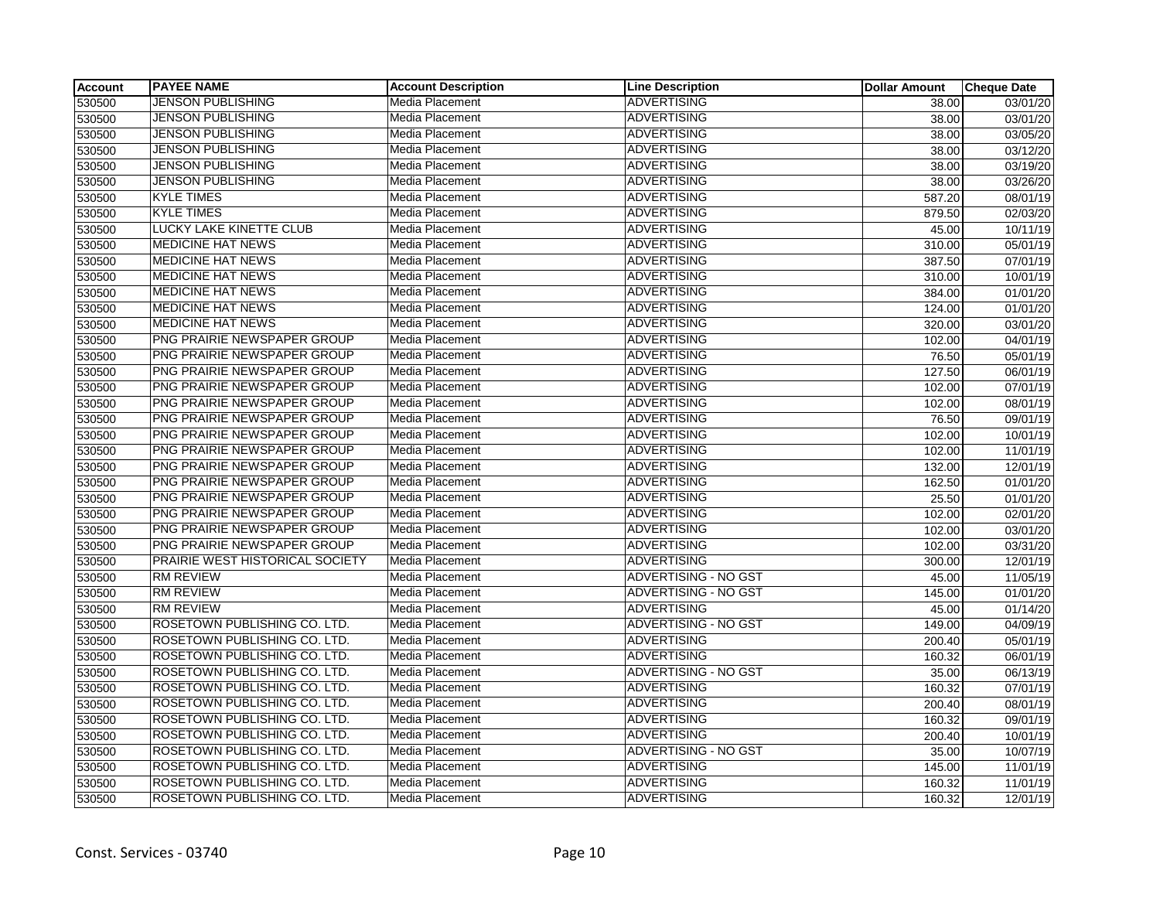| <b>Account</b> | <b>PAYEE NAME</b>               | <b>Account Description</b> | <b>Line Description</b>     | <b>Dollar Amount</b> | <b>Cheque Date</b>    |
|----------------|---------------------------------|----------------------------|-----------------------------|----------------------|-----------------------|
| 530500         | <b>JENSON PUBLISHING</b>        | Media Placement            | <b>ADVERTISING</b>          | 38.00                | 03/01/20              |
| 530500         | <b>JENSON PUBLISHING</b>        | Media Placement            | <b>ADVERTISING</b>          | 38.00                | 03/01/20              |
| 530500         | JENSON PUBLISHING               | Media Placement            | <b>ADVERTISING</b>          | 38.00                | 03/05/20              |
| 530500         | <b>JENSON PUBLISHING</b>        | Media Placement            | <b>ADVERTISING</b>          | 38.00                | $\overline{03/1}2/20$ |
| 530500         | <b>JENSON PUBLISHING</b>        | Media Placement            | <b>ADVERTISING</b>          | 38.00                | 03/19/20              |
| 530500         | <b>JENSON PUBLISHING</b>        | Media Placement            | <b>ADVERTISING</b>          | 38.00                | 03/26/20              |
| 530500         | <b>KYLE TIMES</b>               | Media Placement            | <b>ADVERTISING</b>          | 587.20               | 08/01/19              |
| 530500         | <b>KYLE TIMES</b>               | Media Placement            | <b>ADVERTISING</b>          | 879.50               | 02/03/20              |
| 530500         | LUCKY LAKE KINETTE CLUB         | Media Placement            | <b>ADVERTISING</b>          | 45.00                | 10/11/19              |
| 530500         | <b>MEDICINE HAT NEWS</b>        | Media Placement            | <b>ADVERTISING</b>          | 310.00               | 05/01/19              |
| 530500         | <b>MEDICINE HAT NEWS</b>        | Media Placement            | <b>ADVERTISING</b>          | 387.50               | 07/01/19              |
| 530500         | <b>MEDICINE HAT NEWS</b>        | Media Placement            | <b>ADVERTISING</b>          | 310.00               | 10/01/19              |
| 530500         | <b>MEDICINE HAT NEWS</b>        | Media Placement            | <b>ADVERTISING</b>          | 384.00               | 01/01/20              |
| 530500         | <b>MEDICINE HAT NEWS</b>        | Media Placement            | <b>ADVERTISING</b>          | 124.00               | 01/01/20              |
| 530500         | <b>MEDICINE HAT NEWS</b>        | Media Placement            | <b>ADVERTISING</b>          | 320.00               | 03/01/20              |
| 530500         | PNG PRAIRIE NEWSPAPER GROUP     | Media Placement            | <b>ADVERTISING</b>          | 102.00               | 04/01/19              |
| 530500         | PNG PRAIRIE NEWSPAPER GROUP     | Media Placement            | <b>ADVERTISING</b>          | 76.50                | 05/01/19              |
| 530500         | PNG PRAIRIE NEWSPAPER GROUP     | Media Placement            | <b>ADVERTISING</b>          | 127.50               | 06/01/19              |
| 530500         | PNG PRAIRIE NEWSPAPER GROUP     | Media Placement            | <b>ADVERTISING</b>          | 102.00               | 07/01/19              |
| 530500         | PNG PRAIRIE NEWSPAPER GROUP     | Media Placement            | <b>ADVERTISING</b>          | 102.00               | 08/01/19              |
| 530500         | PNG PRAIRIE NEWSPAPER GROUP     | Media Placement            | <b>ADVERTISING</b>          | 76.50                | 09/01/19              |
| 530500         | PNG PRAIRIE NEWSPAPER GROUP     | Media Placement            | <b>ADVERTISING</b>          | 102.00               | 10/01/19              |
| 530500         | PNG PRAIRIE NEWSPAPER GROUP     | Media Placement            | <b>ADVERTISING</b>          | 102.00               | 11/01/19              |
| 530500         | PNG PRAIRIE NEWSPAPER GROUP     | Media Placement            | <b>ADVERTISING</b>          | 132.00               | 12/01/19              |
| 530500         | PNG PRAIRIE NEWSPAPER GROUP     | Media Placement            | <b>ADVERTISING</b>          | 162.50               | 01/01/20              |
| 530500         | PNG PRAIRIE NEWSPAPER GROUP     | Media Placement            | <b>ADVERTISING</b>          | 25.50                | 01/01/20              |
| 530500         | PNG PRAIRIE NEWSPAPER GROUP     | Media Placement            | <b>ADVERTISING</b>          | 102.00               | 02/01/20              |
| 530500         | PNG PRAIRIE NEWSPAPER GROUP     | Media Placement            | <b>ADVERTISING</b>          | 102.00               | 03/01/20              |
| 530500         | PNG PRAIRIE NEWSPAPER GROUP     | Media Placement            | <b>ADVERTISING</b>          | 102.00               | 03/31/20              |
| 530500         | PRAIRIE WEST HISTORICAL SOCIETY | Media Placement            | <b>ADVERTISING</b>          | 300.00               | 12/01/19              |
| 530500         | <b>RM REVIEW</b>                | Media Placement            | ADVERTISING - NO GST        | 45.00                | 11/05/19              |
| 530500         | <b>RM REVIEW</b>                | Media Placement            | ADVERTISING - NO GST        | 145.00               | $\overline{01/01/20}$ |
| 530500         | <b>RM REVIEW</b>                | Media Placement            | <b>ADVERTISING</b>          | 45.00                | 01/14/20              |
| 530500         | ROSETOWN PUBLISHING CO. LTD.    | Media Placement            | <b>ADVERTISING - NO GST</b> | 149.00               | 04/09/19              |
| 530500         | ROSETOWN PUBLISHING CO. LTD.    | Media Placement            | <b>ADVERTISING</b>          | 200.40               | 05/01/19              |
| 530500         | ROSETOWN PUBLISHING CO. LTD.    | Media Placement            | <b>ADVERTISING</b>          | 160.32               | 06/01/19              |
| 530500         | ROSETOWN PUBLISHING CO. LTD.    | Media Placement            | ADVERTISING - NO GST        | 35.00                | 06/13/19              |
| 530500         | ROSETOWN PUBLISHING CO. LTD.    | Media Placement            | <b>ADVERTISING</b>          | 160.32               | 07/01/19              |
| 530500         | ROSETOWN PUBLISHING CO. LTD.    | Media Placement            | <b>ADVERTISING</b>          | 200.40               | 08/01/19              |
| 530500         | ROSETOWN PUBLISHING CO. LTD.    | Media Placement            | <b>ADVERTISING</b>          | 160.32               | 09/01/19              |
| 530500         | ROSETOWN PUBLISHING CO. LTD.    | Media Placement            | <b>ADVERTISING</b>          | 200.40               | 10/01/19              |
| 530500         | ROSETOWN PUBLISHING CO. LTD.    | Media Placement            | <b>ADVERTISING - NO GST</b> | 35.00                | 10/07/19              |
| 530500         | ROSETOWN PUBLISHING CO. LTD.    | Media Placement            | <b>ADVERTISING</b>          | 145.00               | 11/01/19              |
| 530500         | ROSETOWN PUBLISHING CO. LTD.    | Media Placement            | <b>ADVERTISING</b>          | 160.32               | 11/01/19              |
| 530500         | ROSETOWN PUBLISHING CO. LTD.    | Media Placement            | <b>ADVERTISING</b>          | 160.32               | 12/01/19              |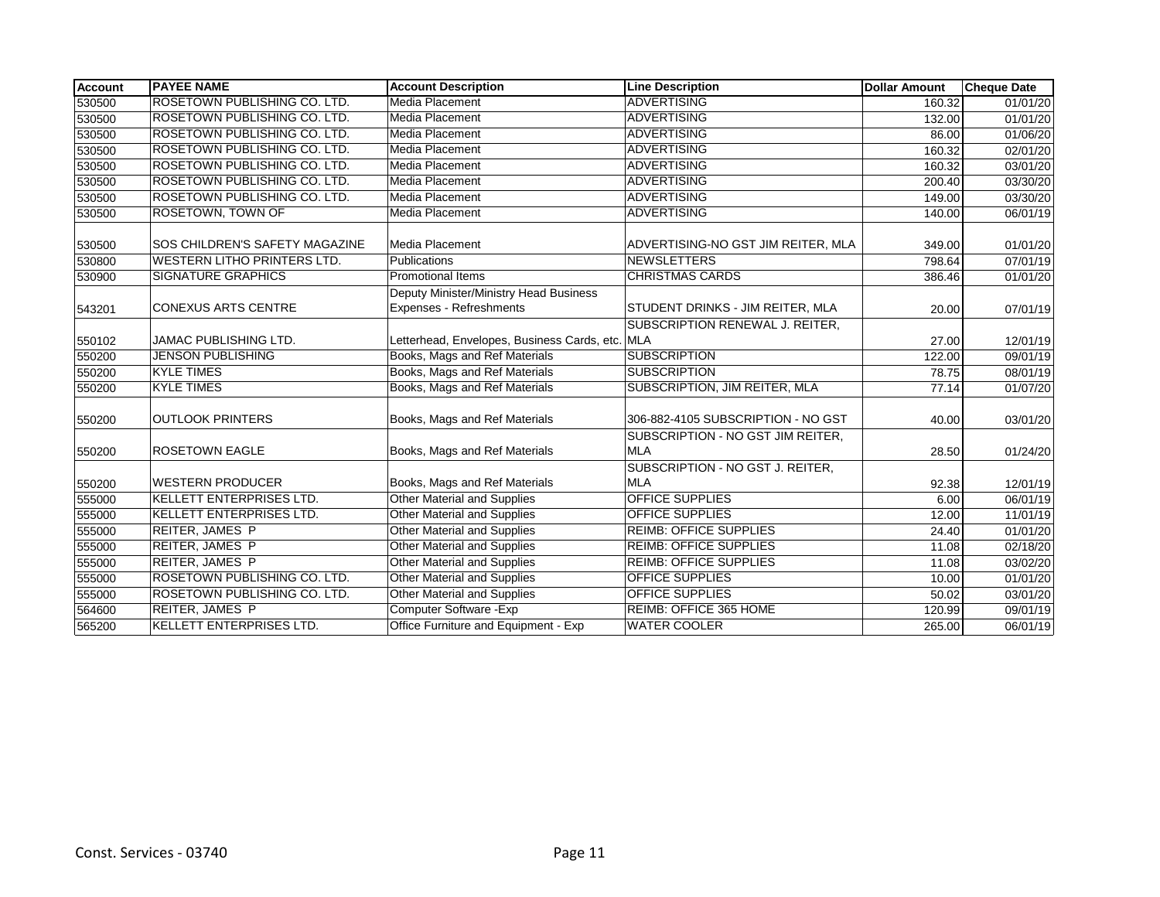| <b>Account</b> | <b>PAYEE NAME</b>                     | <b>Account Description</b>                                        | <b>Line Description</b>                         | <b>Dollar Amount</b> | <b>Cheque Date</b> |
|----------------|---------------------------------------|-------------------------------------------------------------------|-------------------------------------------------|----------------------|--------------------|
| 530500         | <b>ROSETOWN PUBLISHING CO. LTD.</b>   | Media Placement                                                   | <b>ADVERTISING</b>                              | 160.32               | 01/01/20           |
| 530500         | <b>ROSETOWN PUBLISHING CO. LTD.</b>   | Media Placement                                                   | <b>ADVERTISING</b>                              | 132.00               | 01/01/20           |
| 530500         | <b>ROSETOWN PUBLISHING CO. LTD.</b>   | Media Placement                                                   | <b>ADVERTISING</b>                              | 86.00                | 01/06/20           |
| 530500         | ROSETOWN PUBLISHING CO. LTD.          | Media Placement                                                   | <b>ADVERTISING</b>                              | 160.32               | 02/01/20           |
| 530500         | <b>ROSETOWN PUBLISHING CO. LTD.</b>   | Media Placement                                                   | <b>ADVERTISING</b>                              | 160.32               | 03/01/20           |
| 530500         | ROSETOWN PUBLISHING CO. LTD.          | Media Placement                                                   | <b>ADVERTISING</b>                              | 200.40               | 03/30/20           |
| 530500         | ROSETOWN PUBLISHING CO. LTD.          | <b>Media Placement</b>                                            | <b>ADVERTISING</b>                              | 149.00               | 03/30/20           |
| 530500         | ROSETOWN, TOWN OF                     | Media Placement                                                   | <b>ADVERTISING</b>                              | 140.00               | 06/01/19           |
| 530500         | <b>SOS CHILDREN'S SAFETY MAGAZINE</b> | Media Placement                                                   | ADVERTISING-NO GST JIM REITER, MLA              | 349.00               | 01/01/20           |
| 530800         | <b>WESTERN LITHO PRINTERS LTD.</b>    | Publications                                                      | <b>NEWSLETTERS</b>                              | 798.64               | 07/01/19           |
| 530900         | <b>SIGNATURE GRAPHICS</b>             | <b>Promotional Items</b>                                          | <b>CHRISTMAS CARDS</b>                          | 386.46               | 01/01/20           |
| 543201         | <b>CONEXUS ARTS CENTRE</b>            | Deputy Minister/Ministry Head Business<br>Expenses - Refreshments | STUDENT DRINKS - JIM REITER, MLA                | 20.00                | 07/01/19           |
|                |                                       |                                                                   | SUBSCRIPTION RENEWAL J. REITER,                 |                      |                    |
| 550102         | JAMAC PUBLISHING LTD.                 | Letterhead, Envelopes, Business Cards, etc. MLA                   |                                                 | 27.00                | 12/01/19           |
| 550200         | <b>JENSON PUBLISHING</b>              | Books, Mags and Ref Materials                                     | <b>SUBSCRIPTION</b>                             | 122.00               | $\frac{09}{01/19}$ |
| 550200         | <b>KYLE TIMES</b>                     | Books, Mags and Ref Materials                                     | <b>SUBSCRIPTION</b>                             | 78.75                | 08/01/19           |
| 550200         | <b>KYLE TIMES</b>                     | Books, Mags and Ref Materials                                     | SUBSCRIPTION, JIM REITER, MLA                   | 77.14                | 01/07/20           |
| 550200         | <b>OUTLOOK PRINTERS</b>               | Books, Mags and Ref Materials                                     | 306-882-4105 SUBSCRIPTION - NO GST              | 40.00                | 03/01/20           |
| 550200         | <b>ROSETOWN EAGLE</b>                 | Books, Mags and Ref Materials                                     | SUBSCRIPTION - NO GST JIM REITER,<br><b>MLA</b> | 28.50                | 01/24/20           |
| 550200         | WESTERN PRODUCER                      | Books, Mags and Ref Materials                                     | SUBSCRIPTION - NO GST J. REITER,<br><b>MLA</b>  | 92.38                | 12/01/19           |
| 555000         | <b>KELLETT ENTERPRISES LTD.</b>       | <b>Other Material and Supplies</b>                                | <b>OFFICE SUPPLIES</b>                          | 6.00                 | 06/01/19           |
| 555000         | <b>KELLETT ENTERPRISES LTD.</b>       | <b>Other Material and Supplies</b>                                | OFFICE SUPPLIES                                 | 12.00                | 11/01/19           |
| 555000         | <b>REITER, JAMES P</b>                | <b>Other Material and Supplies</b>                                | <b>REIMB: OFFICE SUPPLIES</b>                   | 24.40                | 01/01/20           |
| 555000         | <b>REITER, JAMES P</b>                | Other Material and Supplies                                       | <b>REIMB: OFFICE SUPPLIES</b>                   | 11.08                | 02/18/20           |
| 555000         | <b>REITER, JAMES P</b>                | Other Material and Supplies                                       | <b>REIMB: OFFICE SUPPLIES</b>                   | 11.08                | 03/02/20           |
| 555000         | ROSETOWN PUBLISHING CO. LTD.          | <b>Other Material and Supplies</b>                                | OFFICE SUPPLIES                                 | 10.00                | 01/01/20           |
| 555000         | <b>ROSETOWN PUBLISHING CO. LTD.</b>   | <b>Other Material and Supplies</b>                                | <b>OFFICE SUPPLIES</b>                          | 50.02                | 03/01/20           |
| 564600         | <b>REITER, JAMES P</b>                | Computer Software - Exp                                           | REIMB: OFFICE 365 HOME                          | 120.99               | 09/01/19           |
| 565200         | <b>KELLETT ENTERPRISES LTD.</b>       | Office Furniture and Equipment - Exp                              | <b>WATER COOLER</b>                             | 265.00               | 06/01/19           |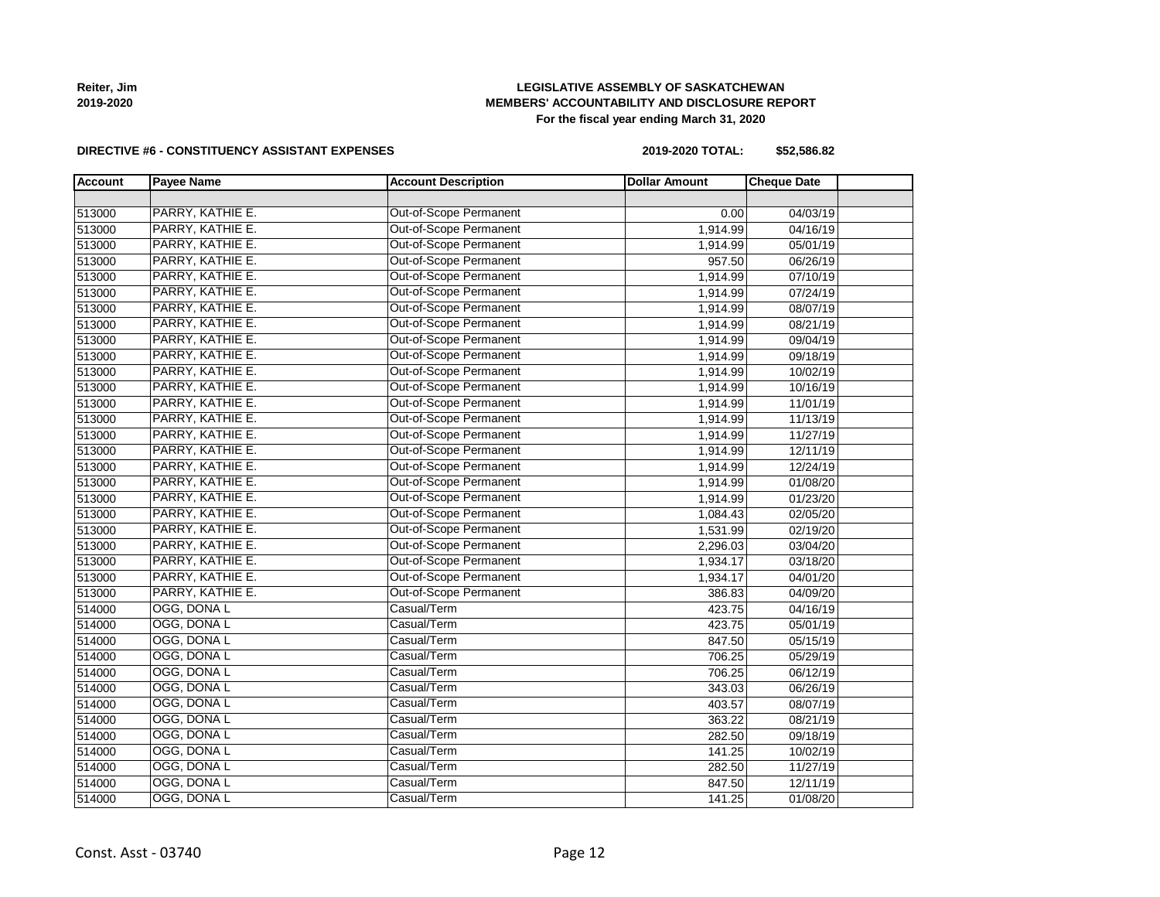Const. Asst - 03740 Page 12

## **LEGISLATIVE ASSEMBLY OF SASKATCHEWAN MEMBERS' ACCOUNTABILITY AND DISCLOSURE REPORT For the fiscal year ending March 31, 2020**

#### **DIRECTIVE #6 - CONSTITUENCY ASSISTANT EXPENSES**

| 2019-2020 TOTAL: | \$52,586.82 |
|------------------|-------------|
|------------------|-------------|

| PARRY, KATHIE E.<br>Out-of-Scope Permanent<br>513000<br>04/03/19<br>0.00<br>PARRY, KATHIE E.<br>Out-of-Scope Permanent<br>1,914.99<br>513000<br>04/16/19<br>PARRY, KATHIE E.<br>Out-of-Scope Permanent<br>1,914.99<br>05/01/19<br>513000<br>Out-of-Scope Permanent<br>PARRY, KATHIE E.<br>513000<br>957.50<br>06/26/19<br>PARRY, KATHIE E.<br>Out-of-Scope Permanent<br>513000<br>1,914.99<br>07/10/19<br>PARRY, KATHIE E.<br>Out-of-Scope Permanent<br>1,914.99<br>07/24/19<br>513000<br>Out-of-Scope Permanent<br>PARRY, KATHIE E.<br>1,914.99<br>08/07/19<br>513000<br>Out-of-Scope Permanent<br>PARRY, KATHIE E.<br>1,914.99<br>08/21/19<br>513000<br>Out-of-Scope Permanent<br>PARRY, KATHIE E.<br>1,914.99<br>09/04/19<br>513000<br>Out-of-Scope Permanent<br>PARRY, KATHIE E.<br>513000<br>1,914.99<br>09/18/19<br>PARRY, KATHIE E.<br>Out-of-Scope Permanent<br>1,914.99<br>10/02/19<br>PARRY, KATHIE E.<br>Out-of-Scope Permanent<br>1,914.99<br>10/16/19<br>Out-of-Scope Permanent<br>PARRY, KATHIE E.<br>1,914.99<br>11/01/19<br>Out-of-Scope Permanent<br>PARRY, KATHIE E.<br>1,914.99<br>11/13/19<br>Out-of-Scope Permanent<br>PARRY, KATHIE E.<br>1,914.99<br>11/27/19<br>Out-of-Scope Permanent<br>PARRY, KATHIE E.<br>1,914.99<br>12/11/19<br>Out-of-Scope Permanent<br>PARRY, KATHIE E.<br>1,914.99<br>12/24/19<br>PARRY, KATHIE E.<br>Out-of-Scope Permanent<br>513000<br>1,914.99<br>01/08/20<br>Out-of-Scope Permanent<br>PARRY, KATHIE E.<br>1,914.99<br>01/23/20<br>PARRY, KATHIE E.<br>Out-of-Scope Permanent<br>02/05/20<br>1,084.43<br>PARRY, KATHIE E.<br>Out-of-Scope Permanent<br>1,531.99<br>02/19/20<br>Out-of-Scope Permanent<br>PARRY, KATHIE E.<br>513000<br>2,296.03<br>03/04/20<br>Out-of-Scope Permanent<br>PARRY, KATHIE E.<br>03/18/20<br>1,934.17<br>Out-of-Scope Permanent<br>PARRY, KATHIE E.<br>1,934.17<br>04/01/20<br>513000<br>PARRY, KATHIE E.<br>Out-of-Scope Permanent<br>513000<br>386.83<br>04/09/20<br>Casual/Term<br>OGG, DONA L<br>04/16/19<br>514000<br>423.75<br>Casual/Term<br>OGG, DONA L<br>05/01/19<br>514000<br>423.75<br>OGG, DONA L<br>Casual/Term<br>514000<br>847.50<br>05/15/19<br>OGG, DONA L<br>Casual/Term<br>514000<br>706.25<br>05/29/19<br>OGG, DONA L<br>Casual/Term<br>706.25<br>514000<br>06/12/19<br>OGG, DONA L<br>Casual/Term<br>514000<br>343.03<br>06/26/19<br>OGG, DONA L<br>Casual/Term<br>514000<br>403.57<br>08/07/19<br>Casual/Term<br>OGG, DONA L<br>08/21/19<br>514000<br>363.22<br>OGG, DONA L<br>Casual/Term<br>514000<br>282.50<br>09/18/19<br>OGG, DONA L<br>Casual/Term<br>514000<br>10/02/19<br>141.25<br>OGG, DONA L<br>Casual/Term<br>514000<br>282.50<br>11/27/19<br>OGG, DONA L<br>Casual/Term<br>514000<br>847.50<br>12/11/19<br>OGG, DONA L<br>Casual/Term<br>01/08/20<br>141.25 | <b>Account</b> | <b>Payee Name</b> | <b>Account Description</b> | <b>Dollar Amount</b> | <b>Cheque Date</b> |  |
|------------------------------------------------------------------------------------------------------------------------------------------------------------------------------------------------------------------------------------------------------------------------------------------------------------------------------------------------------------------------------------------------------------------------------------------------------------------------------------------------------------------------------------------------------------------------------------------------------------------------------------------------------------------------------------------------------------------------------------------------------------------------------------------------------------------------------------------------------------------------------------------------------------------------------------------------------------------------------------------------------------------------------------------------------------------------------------------------------------------------------------------------------------------------------------------------------------------------------------------------------------------------------------------------------------------------------------------------------------------------------------------------------------------------------------------------------------------------------------------------------------------------------------------------------------------------------------------------------------------------------------------------------------------------------------------------------------------------------------------------------------------------------------------------------------------------------------------------------------------------------------------------------------------------------------------------------------------------------------------------------------------------------------------------------------------------------------------------------------------------------------------------------------------------------------------------------------------------------------------------------------------------------------------------------------------------------------------------------------------------------------------------------------------------------------------------------------------------------------------------------------------------------------------------------------------------------------------------------------------------------------------------------------------------------------------------------------------------------------------------------------------------------------|----------------|-------------------|----------------------------|----------------------|--------------------|--|
|                                                                                                                                                                                                                                                                                                                                                                                                                                                                                                                                                                                                                                                                                                                                                                                                                                                                                                                                                                                                                                                                                                                                                                                                                                                                                                                                                                                                                                                                                                                                                                                                                                                                                                                                                                                                                                                                                                                                                                                                                                                                                                                                                                                                                                                                                                                                                                                                                                                                                                                                                                                                                                                                                                                                                                                    |                |                   |                            |                      |                    |  |
|                                                                                                                                                                                                                                                                                                                                                                                                                                                                                                                                                                                                                                                                                                                                                                                                                                                                                                                                                                                                                                                                                                                                                                                                                                                                                                                                                                                                                                                                                                                                                                                                                                                                                                                                                                                                                                                                                                                                                                                                                                                                                                                                                                                                                                                                                                                                                                                                                                                                                                                                                                                                                                                                                                                                                                                    |                |                   |                            |                      |                    |  |
|                                                                                                                                                                                                                                                                                                                                                                                                                                                                                                                                                                                                                                                                                                                                                                                                                                                                                                                                                                                                                                                                                                                                                                                                                                                                                                                                                                                                                                                                                                                                                                                                                                                                                                                                                                                                                                                                                                                                                                                                                                                                                                                                                                                                                                                                                                                                                                                                                                                                                                                                                                                                                                                                                                                                                                                    |                |                   |                            |                      |                    |  |
|                                                                                                                                                                                                                                                                                                                                                                                                                                                                                                                                                                                                                                                                                                                                                                                                                                                                                                                                                                                                                                                                                                                                                                                                                                                                                                                                                                                                                                                                                                                                                                                                                                                                                                                                                                                                                                                                                                                                                                                                                                                                                                                                                                                                                                                                                                                                                                                                                                                                                                                                                                                                                                                                                                                                                                                    |                |                   |                            |                      |                    |  |
|                                                                                                                                                                                                                                                                                                                                                                                                                                                                                                                                                                                                                                                                                                                                                                                                                                                                                                                                                                                                                                                                                                                                                                                                                                                                                                                                                                                                                                                                                                                                                                                                                                                                                                                                                                                                                                                                                                                                                                                                                                                                                                                                                                                                                                                                                                                                                                                                                                                                                                                                                                                                                                                                                                                                                                                    |                |                   |                            |                      |                    |  |
|                                                                                                                                                                                                                                                                                                                                                                                                                                                                                                                                                                                                                                                                                                                                                                                                                                                                                                                                                                                                                                                                                                                                                                                                                                                                                                                                                                                                                                                                                                                                                                                                                                                                                                                                                                                                                                                                                                                                                                                                                                                                                                                                                                                                                                                                                                                                                                                                                                                                                                                                                                                                                                                                                                                                                                                    |                |                   |                            |                      |                    |  |
|                                                                                                                                                                                                                                                                                                                                                                                                                                                                                                                                                                                                                                                                                                                                                                                                                                                                                                                                                                                                                                                                                                                                                                                                                                                                                                                                                                                                                                                                                                                                                                                                                                                                                                                                                                                                                                                                                                                                                                                                                                                                                                                                                                                                                                                                                                                                                                                                                                                                                                                                                                                                                                                                                                                                                                                    |                |                   |                            |                      |                    |  |
|                                                                                                                                                                                                                                                                                                                                                                                                                                                                                                                                                                                                                                                                                                                                                                                                                                                                                                                                                                                                                                                                                                                                                                                                                                                                                                                                                                                                                                                                                                                                                                                                                                                                                                                                                                                                                                                                                                                                                                                                                                                                                                                                                                                                                                                                                                                                                                                                                                                                                                                                                                                                                                                                                                                                                                                    |                |                   |                            |                      |                    |  |
|                                                                                                                                                                                                                                                                                                                                                                                                                                                                                                                                                                                                                                                                                                                                                                                                                                                                                                                                                                                                                                                                                                                                                                                                                                                                                                                                                                                                                                                                                                                                                                                                                                                                                                                                                                                                                                                                                                                                                                                                                                                                                                                                                                                                                                                                                                                                                                                                                                                                                                                                                                                                                                                                                                                                                                                    |                |                   |                            |                      |                    |  |
|                                                                                                                                                                                                                                                                                                                                                                                                                                                                                                                                                                                                                                                                                                                                                                                                                                                                                                                                                                                                                                                                                                                                                                                                                                                                                                                                                                                                                                                                                                                                                                                                                                                                                                                                                                                                                                                                                                                                                                                                                                                                                                                                                                                                                                                                                                                                                                                                                                                                                                                                                                                                                                                                                                                                                                                    |                |                   |                            |                      |                    |  |
|                                                                                                                                                                                                                                                                                                                                                                                                                                                                                                                                                                                                                                                                                                                                                                                                                                                                                                                                                                                                                                                                                                                                                                                                                                                                                                                                                                                                                                                                                                                                                                                                                                                                                                                                                                                                                                                                                                                                                                                                                                                                                                                                                                                                                                                                                                                                                                                                                                                                                                                                                                                                                                                                                                                                                                                    |                |                   |                            |                      |                    |  |
|                                                                                                                                                                                                                                                                                                                                                                                                                                                                                                                                                                                                                                                                                                                                                                                                                                                                                                                                                                                                                                                                                                                                                                                                                                                                                                                                                                                                                                                                                                                                                                                                                                                                                                                                                                                                                                                                                                                                                                                                                                                                                                                                                                                                                                                                                                                                                                                                                                                                                                                                                                                                                                                                                                                                                                                    |                |                   |                            |                      |                    |  |
|                                                                                                                                                                                                                                                                                                                                                                                                                                                                                                                                                                                                                                                                                                                                                                                                                                                                                                                                                                                                                                                                                                                                                                                                                                                                                                                                                                                                                                                                                                                                                                                                                                                                                                                                                                                                                                                                                                                                                                                                                                                                                                                                                                                                                                                                                                                                                                                                                                                                                                                                                                                                                                                                                                                                                                                    | 513000         |                   |                            |                      |                    |  |
|                                                                                                                                                                                                                                                                                                                                                                                                                                                                                                                                                                                                                                                                                                                                                                                                                                                                                                                                                                                                                                                                                                                                                                                                                                                                                                                                                                                                                                                                                                                                                                                                                                                                                                                                                                                                                                                                                                                                                                                                                                                                                                                                                                                                                                                                                                                                                                                                                                                                                                                                                                                                                                                                                                                                                                                    | 513000         |                   |                            |                      |                    |  |
|                                                                                                                                                                                                                                                                                                                                                                                                                                                                                                                                                                                                                                                                                                                                                                                                                                                                                                                                                                                                                                                                                                                                                                                                                                                                                                                                                                                                                                                                                                                                                                                                                                                                                                                                                                                                                                                                                                                                                                                                                                                                                                                                                                                                                                                                                                                                                                                                                                                                                                                                                                                                                                                                                                                                                                                    | 513000         |                   |                            |                      |                    |  |
|                                                                                                                                                                                                                                                                                                                                                                                                                                                                                                                                                                                                                                                                                                                                                                                                                                                                                                                                                                                                                                                                                                                                                                                                                                                                                                                                                                                                                                                                                                                                                                                                                                                                                                                                                                                                                                                                                                                                                                                                                                                                                                                                                                                                                                                                                                                                                                                                                                                                                                                                                                                                                                                                                                                                                                                    | 513000         |                   |                            |                      |                    |  |
|                                                                                                                                                                                                                                                                                                                                                                                                                                                                                                                                                                                                                                                                                                                                                                                                                                                                                                                                                                                                                                                                                                                                                                                                                                                                                                                                                                                                                                                                                                                                                                                                                                                                                                                                                                                                                                                                                                                                                                                                                                                                                                                                                                                                                                                                                                                                                                                                                                                                                                                                                                                                                                                                                                                                                                                    | 513000         |                   |                            |                      |                    |  |
|                                                                                                                                                                                                                                                                                                                                                                                                                                                                                                                                                                                                                                                                                                                                                                                                                                                                                                                                                                                                                                                                                                                                                                                                                                                                                                                                                                                                                                                                                                                                                                                                                                                                                                                                                                                                                                                                                                                                                                                                                                                                                                                                                                                                                                                                                                                                                                                                                                                                                                                                                                                                                                                                                                                                                                                    | 513000         |                   |                            |                      |                    |  |
|                                                                                                                                                                                                                                                                                                                                                                                                                                                                                                                                                                                                                                                                                                                                                                                                                                                                                                                                                                                                                                                                                                                                                                                                                                                                                                                                                                                                                                                                                                                                                                                                                                                                                                                                                                                                                                                                                                                                                                                                                                                                                                                                                                                                                                                                                                                                                                                                                                                                                                                                                                                                                                                                                                                                                                                    | 513000         |                   |                            |                      |                    |  |
|                                                                                                                                                                                                                                                                                                                                                                                                                                                                                                                                                                                                                                                                                                                                                                                                                                                                                                                                                                                                                                                                                                                                                                                                                                                                                                                                                                                                                                                                                                                                                                                                                                                                                                                                                                                                                                                                                                                                                                                                                                                                                                                                                                                                                                                                                                                                                                                                                                                                                                                                                                                                                                                                                                                                                                                    |                |                   |                            |                      |                    |  |
|                                                                                                                                                                                                                                                                                                                                                                                                                                                                                                                                                                                                                                                                                                                                                                                                                                                                                                                                                                                                                                                                                                                                                                                                                                                                                                                                                                                                                                                                                                                                                                                                                                                                                                                                                                                                                                                                                                                                                                                                                                                                                                                                                                                                                                                                                                                                                                                                                                                                                                                                                                                                                                                                                                                                                                                    | 513000         |                   |                            |                      |                    |  |
|                                                                                                                                                                                                                                                                                                                                                                                                                                                                                                                                                                                                                                                                                                                                                                                                                                                                                                                                                                                                                                                                                                                                                                                                                                                                                                                                                                                                                                                                                                                                                                                                                                                                                                                                                                                                                                                                                                                                                                                                                                                                                                                                                                                                                                                                                                                                                                                                                                                                                                                                                                                                                                                                                                                                                                                    | 513000         |                   |                            |                      |                    |  |
|                                                                                                                                                                                                                                                                                                                                                                                                                                                                                                                                                                                                                                                                                                                                                                                                                                                                                                                                                                                                                                                                                                                                                                                                                                                                                                                                                                                                                                                                                                                                                                                                                                                                                                                                                                                                                                                                                                                                                                                                                                                                                                                                                                                                                                                                                                                                                                                                                                                                                                                                                                                                                                                                                                                                                                                    | 513000         |                   |                            |                      |                    |  |
|                                                                                                                                                                                                                                                                                                                                                                                                                                                                                                                                                                                                                                                                                                                                                                                                                                                                                                                                                                                                                                                                                                                                                                                                                                                                                                                                                                                                                                                                                                                                                                                                                                                                                                                                                                                                                                                                                                                                                                                                                                                                                                                                                                                                                                                                                                                                                                                                                                                                                                                                                                                                                                                                                                                                                                                    |                |                   |                            |                      |                    |  |
|                                                                                                                                                                                                                                                                                                                                                                                                                                                                                                                                                                                                                                                                                                                                                                                                                                                                                                                                                                                                                                                                                                                                                                                                                                                                                                                                                                                                                                                                                                                                                                                                                                                                                                                                                                                                                                                                                                                                                                                                                                                                                                                                                                                                                                                                                                                                                                                                                                                                                                                                                                                                                                                                                                                                                                                    | 513000         |                   |                            |                      |                    |  |
|                                                                                                                                                                                                                                                                                                                                                                                                                                                                                                                                                                                                                                                                                                                                                                                                                                                                                                                                                                                                                                                                                                                                                                                                                                                                                                                                                                                                                                                                                                                                                                                                                                                                                                                                                                                                                                                                                                                                                                                                                                                                                                                                                                                                                                                                                                                                                                                                                                                                                                                                                                                                                                                                                                                                                                                    |                |                   |                            |                      |                    |  |
|                                                                                                                                                                                                                                                                                                                                                                                                                                                                                                                                                                                                                                                                                                                                                                                                                                                                                                                                                                                                                                                                                                                                                                                                                                                                                                                                                                                                                                                                                                                                                                                                                                                                                                                                                                                                                                                                                                                                                                                                                                                                                                                                                                                                                                                                                                                                                                                                                                                                                                                                                                                                                                                                                                                                                                                    |                |                   |                            |                      |                    |  |
|                                                                                                                                                                                                                                                                                                                                                                                                                                                                                                                                                                                                                                                                                                                                                                                                                                                                                                                                                                                                                                                                                                                                                                                                                                                                                                                                                                                                                                                                                                                                                                                                                                                                                                                                                                                                                                                                                                                                                                                                                                                                                                                                                                                                                                                                                                                                                                                                                                                                                                                                                                                                                                                                                                                                                                                    |                |                   |                            |                      |                    |  |
|                                                                                                                                                                                                                                                                                                                                                                                                                                                                                                                                                                                                                                                                                                                                                                                                                                                                                                                                                                                                                                                                                                                                                                                                                                                                                                                                                                                                                                                                                                                                                                                                                                                                                                                                                                                                                                                                                                                                                                                                                                                                                                                                                                                                                                                                                                                                                                                                                                                                                                                                                                                                                                                                                                                                                                                    |                |                   |                            |                      |                    |  |
|                                                                                                                                                                                                                                                                                                                                                                                                                                                                                                                                                                                                                                                                                                                                                                                                                                                                                                                                                                                                                                                                                                                                                                                                                                                                                                                                                                                                                                                                                                                                                                                                                                                                                                                                                                                                                                                                                                                                                                                                                                                                                                                                                                                                                                                                                                                                                                                                                                                                                                                                                                                                                                                                                                                                                                                    |                |                   |                            |                      |                    |  |
|                                                                                                                                                                                                                                                                                                                                                                                                                                                                                                                                                                                                                                                                                                                                                                                                                                                                                                                                                                                                                                                                                                                                                                                                                                                                                                                                                                                                                                                                                                                                                                                                                                                                                                                                                                                                                                                                                                                                                                                                                                                                                                                                                                                                                                                                                                                                                                                                                                                                                                                                                                                                                                                                                                                                                                                    |                |                   |                            |                      |                    |  |
|                                                                                                                                                                                                                                                                                                                                                                                                                                                                                                                                                                                                                                                                                                                                                                                                                                                                                                                                                                                                                                                                                                                                                                                                                                                                                                                                                                                                                                                                                                                                                                                                                                                                                                                                                                                                                                                                                                                                                                                                                                                                                                                                                                                                                                                                                                                                                                                                                                                                                                                                                                                                                                                                                                                                                                                    |                |                   |                            |                      |                    |  |
|                                                                                                                                                                                                                                                                                                                                                                                                                                                                                                                                                                                                                                                                                                                                                                                                                                                                                                                                                                                                                                                                                                                                                                                                                                                                                                                                                                                                                                                                                                                                                                                                                                                                                                                                                                                                                                                                                                                                                                                                                                                                                                                                                                                                                                                                                                                                                                                                                                                                                                                                                                                                                                                                                                                                                                                    |                |                   |                            |                      |                    |  |
|                                                                                                                                                                                                                                                                                                                                                                                                                                                                                                                                                                                                                                                                                                                                                                                                                                                                                                                                                                                                                                                                                                                                                                                                                                                                                                                                                                                                                                                                                                                                                                                                                                                                                                                                                                                                                                                                                                                                                                                                                                                                                                                                                                                                                                                                                                                                                                                                                                                                                                                                                                                                                                                                                                                                                                                    |                |                   |                            |                      |                    |  |
|                                                                                                                                                                                                                                                                                                                                                                                                                                                                                                                                                                                                                                                                                                                                                                                                                                                                                                                                                                                                                                                                                                                                                                                                                                                                                                                                                                                                                                                                                                                                                                                                                                                                                                                                                                                                                                                                                                                                                                                                                                                                                                                                                                                                                                                                                                                                                                                                                                                                                                                                                                                                                                                                                                                                                                                    |                |                   |                            |                      |                    |  |
|                                                                                                                                                                                                                                                                                                                                                                                                                                                                                                                                                                                                                                                                                                                                                                                                                                                                                                                                                                                                                                                                                                                                                                                                                                                                                                                                                                                                                                                                                                                                                                                                                                                                                                                                                                                                                                                                                                                                                                                                                                                                                                                                                                                                                                                                                                                                                                                                                                                                                                                                                                                                                                                                                                                                                                                    |                |                   |                            |                      |                    |  |
|                                                                                                                                                                                                                                                                                                                                                                                                                                                                                                                                                                                                                                                                                                                                                                                                                                                                                                                                                                                                                                                                                                                                                                                                                                                                                                                                                                                                                                                                                                                                                                                                                                                                                                                                                                                                                                                                                                                                                                                                                                                                                                                                                                                                                                                                                                                                                                                                                                                                                                                                                                                                                                                                                                                                                                                    |                |                   |                            |                      |                    |  |
|                                                                                                                                                                                                                                                                                                                                                                                                                                                                                                                                                                                                                                                                                                                                                                                                                                                                                                                                                                                                                                                                                                                                                                                                                                                                                                                                                                                                                                                                                                                                                                                                                                                                                                                                                                                                                                                                                                                                                                                                                                                                                                                                                                                                                                                                                                                                                                                                                                                                                                                                                                                                                                                                                                                                                                                    |                |                   |                            |                      |                    |  |
|                                                                                                                                                                                                                                                                                                                                                                                                                                                                                                                                                                                                                                                                                                                                                                                                                                                                                                                                                                                                                                                                                                                                                                                                                                                                                                                                                                                                                                                                                                                                                                                                                                                                                                                                                                                                                                                                                                                                                                                                                                                                                                                                                                                                                                                                                                                                                                                                                                                                                                                                                                                                                                                                                                                                                                                    |                |                   |                            |                      |                    |  |
|                                                                                                                                                                                                                                                                                                                                                                                                                                                                                                                                                                                                                                                                                                                                                                                                                                                                                                                                                                                                                                                                                                                                                                                                                                                                                                                                                                                                                                                                                                                                                                                                                                                                                                                                                                                                                                                                                                                                                                                                                                                                                                                                                                                                                                                                                                                                                                                                                                                                                                                                                                                                                                                                                                                                                                                    | 514000         |                   |                            |                      |                    |  |